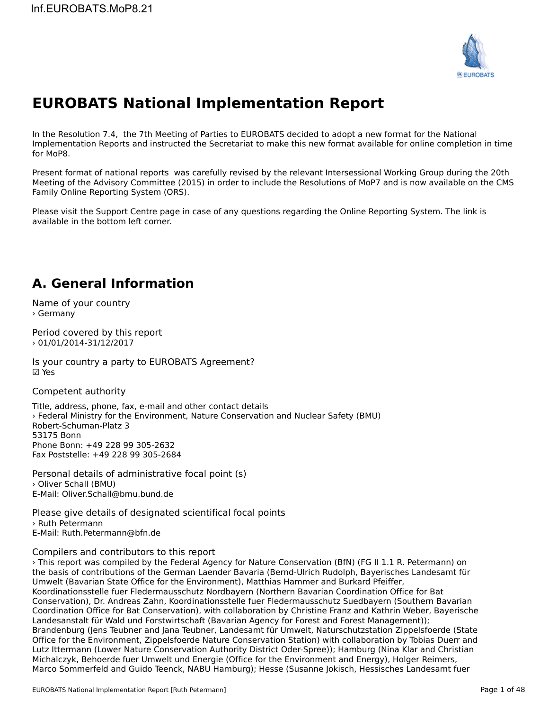

# **EUROBATS National Implementation Report**

In the Resolution 7.4, the 7th Meeting of Parties to EUROBATS decided to adopt a new format for the National In the Resolution 7.4, the 7th Meeting of Parties to EUROBATS declued to adopt a new format for the National<br>Implementation Reports and instructed the Secretariat to make this new format available for online completion in for MoP8.

Present format of national reports was carefully revised by the relevant Intersessional Working Group during the 20th Meeting of the Advisory Committee (2015) in order to include the Resolutions of MoP7 and is now available on the CMS Family Online Reporting System (ORS).

Please visit the Support Centre page in case of any questions regarding the Online Reporting System. The link is available in the bottom left corner.

## **A. General Information**

Name of your country › Germany

Period covered by this report › 01/01/2014-31/12/2017

Is your country a party to EUROBATS Agreement? ☑ Yes

Competent authority

Title, address, phone, fax, e-mail and other contact details › Federal Ministry for the Environment, Nature Conservation and Nuclear Safety (BMU) *r* ederar ministry for the<br>Robert-Schuman-Platz 3 53175 BonnPhone Bonn: +49 228 99 305-2632Fax Poststelle: +49 228 99 305-2684

Personal details of administrative focal point (s) › Oliver Schall (BMU)E-Mail: Oliver.Schall@bmu.bund.de

Please give details of designated scientifical focal points > Ruth Petermann E-Mail: Ruth.Petermann@bfn.de

## Compilers and contributors to this report

› This report was compiled by the Federal Agency for Nature Conservation (BfN) (FG II 1.1 R. Petermann) on the basis of contributions of the German Laender Bavaria (Bernd-Ulrich Rudolph, Bayerisches Landesamt fürUmwelt (Bavarian State Office for the Environment), Matthias Hammer and Burkard Pfeiffer, Barnachamic full pro Umwelt (Bavarian State Office for the Environment), Matthias Hammer and Burkard Pfeiffer, oniweit (Bavarian State Onice for the Environment), Matthias Hammer and Burkard Freiher,<br>Koordinationsstelle fuer Fledermausschutz Nordbayern (Northern Bavarian Coordination Office for Bat Conservation), Dr. Andreas Zahn, Koordinationsstelle fuer Fledermausschutz Suedbayern (Southern Bavarian Conservation), Dr. Andreas Zann, Roordinationsstelle füer Fledermausschutz Suedbayern (Southern Bavarian Agency<br>Coordination Office for Bat Conservation), with collaboration by Christine Franz and Kathrin Weber, Bayerische Landesanstalt für Wald und Forstwirtschaft (Bavarian Agency for Forest and Forest Management)); Landesanstalt für Wald und Forstwirtschaft (Bavarian Agency för Förest and Förest Management)),<br>Brandenburg (Jens Teubner and Jana Teubner, Landesamt für Umwelt, Naturschutzstation Zippelsfoerde (State Office for the Environment, Zippelsfoerde Nature Conservation Station) with collaboration by Tobias Duerr and Lutz Ittermann (Lower Nature Conservation Authority District Oder-Spree)); Hamburg (Nina Klar and Christian Lucz ittermann (Lower Nature Conservation Authority District Oder-Spree)), hamburg (Nina Kiar and Christian<br>Michalczyk, Behoerde fuer Umwelt und Energie (Office for the Environment and Energy), Holger Reimers, Marco Sommerfeld and Guido Teenck, NABU Hamburg); Hesse (Susanne Jokisch, Hessisches Landesamt fuer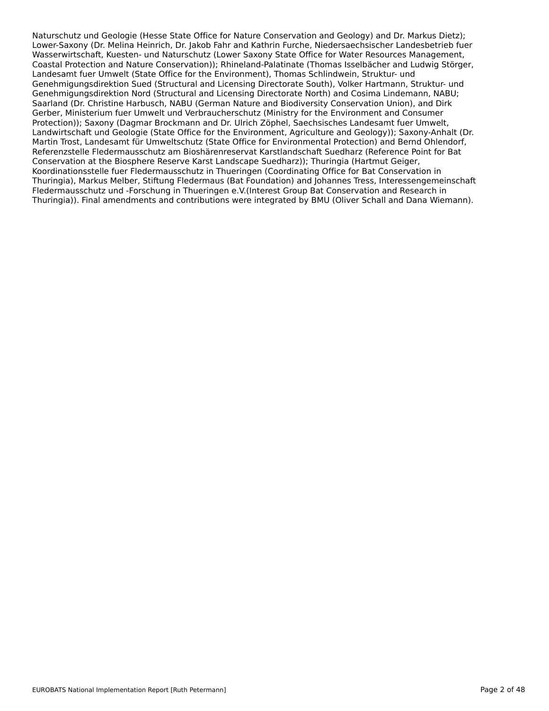Naturschutz und Geologie (Hesse State Office for Nature Conservation and Geology) and Dr. Markus Dietz); Lower-Saxony (Dr. Melina Heinrich, Dr. Jakob Fahr and Kathrin Furche, Niedersaechsischer Landesbetrieb fuer Wasserwirtschaft, Kuesten- und Naturschutz (Lower Saxony State Office for Water Resources Management, Coastal Protection and Nature Conservation)); Rhineland-Palatinate (Thomas Isselbächer and Ludwig Störger, Landesamt fuer Umwelt (State Office for the Environment), Thomas Schlindwein, Struktur- und Genehmigungsdirektion Sued (Structural and Licensing Directorate South), Volker Hartmann, Struktur- und Genehmigungsdirektion Nord (Structural and Licensing Directorate North) and Cosima Lindemann, NABU; Saarland (Dr. Christine Harbusch, NABU (German Nature and Biodiversity Conservation Union), and Dirk Gerber, Ministerium fuer Umwelt und Verbraucherschutz (Ministry for the Environment and Consumer Protection)); Saxony (Dagmar Brockmann and Dr. Ulrich Zöphel, Saechsisches Landesamt fuer Umwelt, Landwirtschaft und Geologie (State Office for the Environment, Agriculture and Geology)); Saxony-Anhalt (Dr. Martin Trost, Landesamt für Umweltschutz (State Office for Environmental Protection) and Bernd Ohlendorf, Referenzstelle Fledermausschutz am Bioshärenreservat Karstlandschaft Suedharz (Reference Point for Bat Conservation at the Biosphere Reserve Karst Landscape Suedharz)); Thuringia (Hartmut Geiger, Koordinationsstelle fuer Fledermausschutz in Thueringen (Coordinating Office for Bat Conservation in Thuringia), Markus Melber, Stiftung Fledermaus (Bat Foundation) and Johannes Tress, Interessengemeinschaft Fledermausschutz und -Forschung in Thueringen e.V.(Interest Group Bat Conservation and Research in Thuringia)). Final amendments and contributions were integrated by BMU (Oliver Schall and Dana Wiemann).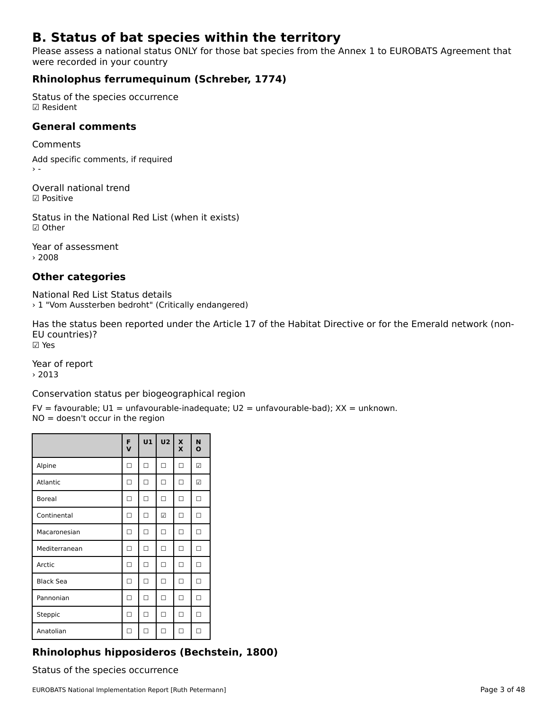# **B. Status of bat species within the territory**

Please assess a national status ONLY for those bat species from the Annex 1 to EUROBATS Agreement that riease assess a national statu:<br>were recorded in your country

# **Rhinolophus ferrumequinum (Schreber, 1774)**

Status of the species occurrence ☑ Resident

### **General comments**

Comments

Add specific comments, if required

Overall national trend☑ Positive

Status in the National Red List (when it exists) ☑ Other

Year of assessment › 2008

# **Other categories**

National Red List Status details › 1 "Vom Aussterben bedroht" (Critically endangered)

Has the status been reported under the Article 17 of the Habitat Directive or for the Emerald network (non-EU countries)?EU countries)? ☑ Yes

Year of report › 2013

Conservation status per biogeographical region

FV = favourable; U1 = unfavourable-inadequate; U2 = unfavourable-bad); XX = unknown. IV – lavourable, OI – unlavoura<br>NO = doesn't occur in the region

|                  | F<br>V | U1     | U <sub>2</sub> | X<br>X | N<br>$\mathbf{o}$ |
|------------------|--------|--------|----------------|--------|-------------------|
| Alpine           | п      | $\Box$ | □              | □      | ☑                 |
| Atlantic         | п      | п      | П              | п      | ☑                 |
| <b>Boreal</b>    | П      | $\Box$ | $\Box$         | $\Box$ | П                 |
| Continental      | п      | □      | ☑              | □      | П                 |
| Macaronesian     | п      | □      | п              | п      | П                 |
| Mediterranean    | п      | □      | п              | п      | п                 |
| Arctic           | п      | □      | п              | п      | п                 |
| <b>Black Sea</b> | ┑      | п      | п              | п      | п                 |
| Pannonian        | п      | п      | п              | п      | п                 |
| Steppic          | п      | □      | п              | □      | П                 |
| Anatolian        | п      | п      | п              | п      | П                 |

# **Rhinolophus hipposideros (Bechstein, 1800)**

Status of the species occurrence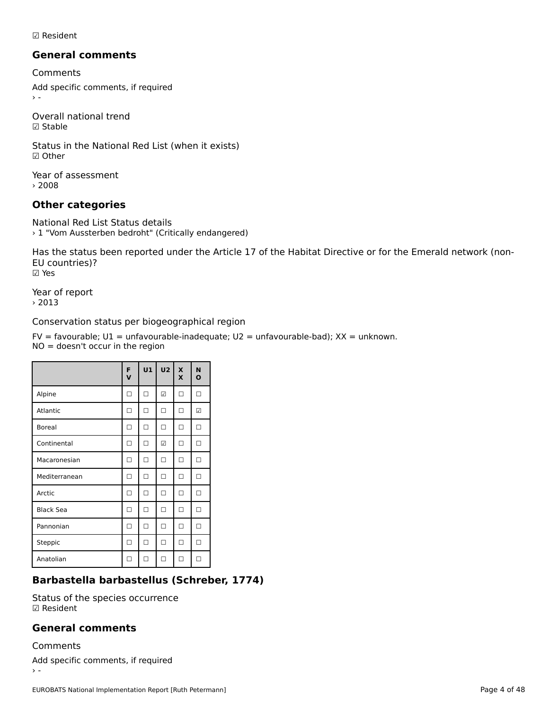☑ Resident

### **General comments**

Comments

Add specific comments, if required  $\rightarrow$   $-$ 

Overall national trend ☑ Stable

Status in the National Red List (when it exists) ☑ Other

Year of assessment › 2008

# **Other categories**

National Red List Status details › 1 "Vom Aussterben bedroht" (Critically endangered)

Has the status been reported under the Article 17 of the Habitat Directive or for the Emerald network (non-EU countries)?EU countries)? ☑ Yes

Year of report › 2013

Conservation status per biogeographical region

FV = favourable; U1 = unfavourable-inadequate; U2 = unfavourable-bad); XX = unknown. IV – lavourable, OI – unlavoura<br>NO = doesn't occur in the region

|                  | F<br>$\mathbf v$ | U1 | U <sub>2</sub> | $\mathbf x$<br>X | N<br>$\mathbf{o}$ |
|------------------|------------------|----|----------------|------------------|-------------------|
| Alpine           | П                | п  | ☑              | П                | п                 |
| Atlantic         | п                | п  | п              | п                | ☑                 |
| <b>Boreal</b>    | п                | п  | п              | п                | П                 |
| Continental      | п                | п  | ☑              | п                | П                 |
| Macaronesian     | п                | П  | п              | П                | П                 |
| Mediterranean    | п                | п  | п              | п                | П                 |
| Arctic           | п                | □  | п              | П                | П                 |
| <b>Black Sea</b> | п                | п  | п              | П                | П                 |
| Pannonian        | п                | □  | п              | п                | □                 |
| Steppic          | п                | п  | п              | п                | п                 |
| Anatolian        | П                | п  | п              | п                | П                 |

# **Barbastella barbastellus (Schreber, 1774)**

Status of the species occurrence ☑ Resident

### **General comments**

Comments

Add specific comments, if required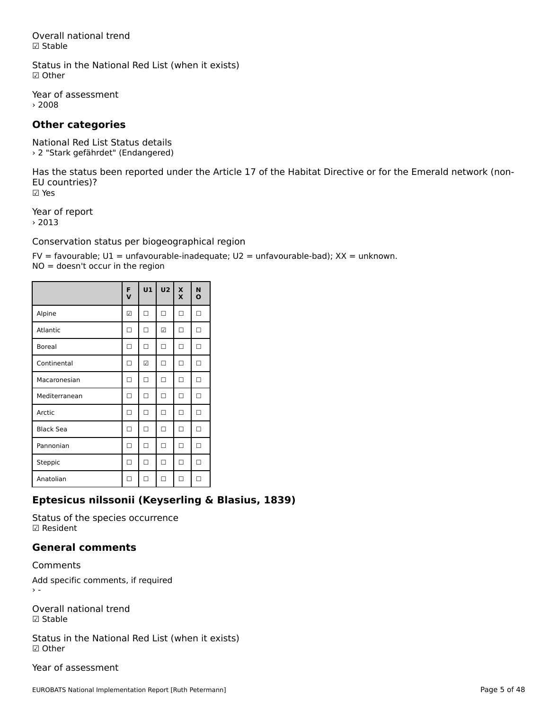Overall national trend☑ Stable

Status in the National Red List (when it exists) ☑ Other

Year of assessment › 2008

# **Other categories**

National Red List Status details › 2 "Stark gefährdet" (Endangered)

Has the status been reported under the Article 17 of the Habitat Directive or for the Emerald network (non-EU countries)?EU countries)? ☑ Yes

Year of report › 2013

Conservation status per biogeographical region

FV = favourable; U1 = unfavourable-inadequate; U2 = unfavourable-bad); XX = unknown. IV – lavourable, OI – unlavoura<br>NO = doesn't occur in the region

|                  | F<br>$\mathbf v$ | U1 | U <sub>2</sub> | $\pmb{\times}$<br>X | N<br>O |
|------------------|------------------|----|----------------|---------------------|--------|
| Alpine           | ☑                | п  | п              | п                   | п      |
| Atlantic         | п                | п  | ☑              | п                   | п      |
| <b>Boreal</b>    | п                | п  | п              | п                   | п      |
| Continental      | п                | ☑  | п              | п                   | п      |
| Macaronesian     | п                | п  | п              | п                   | П      |
| Mediterranean    | п                | п  | п              | п                   | п      |
| Arctic           | п                | п  | п              | П                   | П      |
| <b>Black Sea</b> | п                | п  | п              | п                   | П      |
| Pannonian        | п                | п  | п              | п                   | п      |
| Steppic          | п                | □  | п              | □                   | П      |
| Anatolian        | п                | п  | п              |                     |        |

# **Eptesicus nilssonii (Keyserling & Blasius, 1839)**

Status of the species occurrence ☑ Resident

## **General comments**

Comments

Add specific comments, if required

Overall national trend☑ Stable

Status in the National Red List (when it exists) ☑ Other

Year of assessment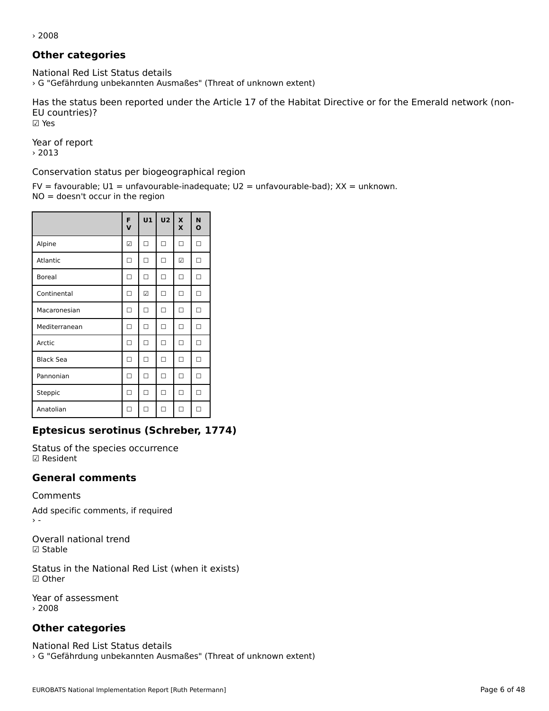› 2008

# **Other categories**

National Red List Status details › G "Gefährdung unbekannten Ausmaßes" (Threat of unknown extent)

Has the status been reported under the Article 17 of the Habitat Directive or for the Emerald network (non-EU countries)? ☑ Yes

Year of report › 2013

Conservation status per biogeographical region

FV = favourable; U1 = unfavourable-inadequate; U2 = unfavourable-bad); XX = unknown.  $NO = doesn't occur in the region$ 

|                  | F<br>$\mathbf v$ | U1     | U <sub>2</sub> | $\overline{\mathbf{x}}$<br>X | N<br>O |
|------------------|------------------|--------|----------------|------------------------------|--------|
| Alpine           | ☑                | □      | □              | □                            | П      |
| Atlantic         | п                | $\Box$ | □              | ☑                            | П      |
| <b>Boreal</b>    | п                | □      | $\Box$         | П                            | П      |
| Continental      | п                | ☑      | п              | п                            | п      |
| Macaronesian     | п                | п      | п              | п                            | п      |
| Mediterranean    | п                | п      | п              | п                            | П      |
| Arctic           | п                | п      | п              | П                            | П      |
| <b>Black Sea</b> | п                | □      | п              | п                            | п      |
| Pannonian        | П                | □      | п              | п                            | П      |
| Steppic          | □                | п      | □              | п                            | □      |
| Anatolian        | П                | п      | п              | п                            | П      |

# **Eptesicus serotinus (Schreber, 1774)**

Status of the species occurrence ☑ Resident

### **General comments**

Comments

Add specific comments, if required

Overall national trend ☑ Stable

Status in the National Red List (when it exists) ☑ Other

Year of assessment › 2008

# **Other categories**

National Red List Status details › G "Gefährdung unbekannten Ausmaßes" (Threat of unknown extent)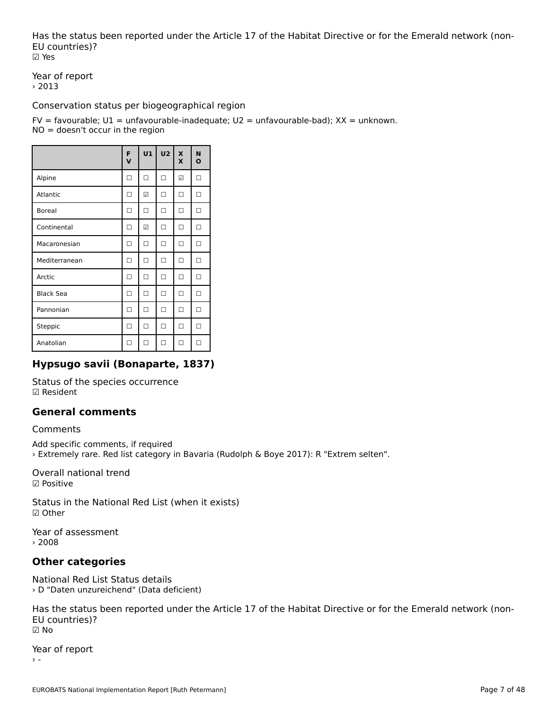Has the status been reported under the Article 17 of the Habitat Directive or for the Emerald network (non-EU countries)?EU countries)? ☑ Yes

Year of report › 2013

Conservation status per biogeographical region

FV = favourable; U1 = unfavourable-inadequate; U2 = unfavourable-bad); XX = unknown. IV – lavourable, OI – unlavoura<br>NO = doesn't occur in the region

|                  | F<br>V | U1 | U <sub>2</sub> | X<br>X | N<br>O |
|------------------|--------|----|----------------|--------|--------|
| Alpine           | п      | □  | п              | ☑      | П      |
| Atlantic         | п      | ☑  | п              | п      | п      |
| <b>Boreal</b>    | п      | □  | □              | п      | п      |
| Continental      | п      | ☑  | п              | п      | П      |
| Macaronesian     | П      | п  | п              | п      | п      |
| Mediterranean    | п      | □  | □              | п      | П      |
| Arctic           | п      | П  | □              | п      | п      |
| <b>Black Sea</b> | п      | П  | □              | п      | п      |
| Pannonian        | п      | П  | $\Box$         | $\Box$ | п      |
| Steppic          | п      | П  | □              | □      | п      |
| Anatolian        |        |    | п              |        |        |

# **Hypsugo savii (Bonaparte, 1837)**

Status of the species occurrence ☑ Resident

# **General comments**

## Comments

Add specific comments, if required › Extremely rare. Red list category in Bavaria (Rudolph & Boye 2017): R "Extrem selten".

Overall national trend☑ Positive

Status in the National Red List (when it exists) ☑ Other

Year of assessment › 2008

# **Other categories**

National Red List Status details › D "Daten unzureichend" (Data deficient)

Has the status been reported under the Article 17 of the Habitat Directive or for the Emerald network (non-EU countries)?EU countries)? ☑ No

Year of report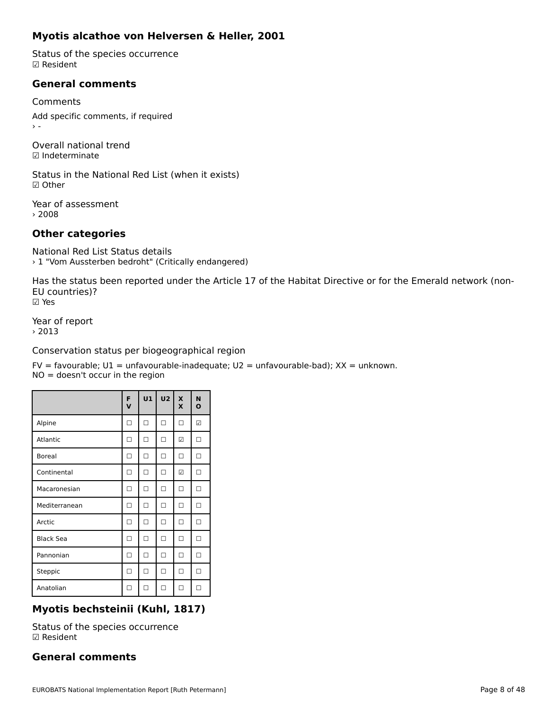# **Myotis alcathoe von Helversen & Heller, 2001**

Status of the species occurrence ☑ Resident

## **General comments**

Comments Add specific comments, if required nu<br>> -

Overall national trend☑ Indeterminate

Status in the National Red List (when it exists) ☑ Other

Year of assessment › 2008

# **Other categories**

National Red List Status details› 1 "Vom Aussterben bedroht" (Critically endangered)

Has the status been reported under the Article 17 of the Habitat Directive or for the Emerald network (non-EU countries)?EU countries)? ☑ Yes

Year of report  $> 2013$ 

Conservation status per biogeographical region

FV = favourable; U1 = unfavourable-inadequate; U2 = unfavourable-bad); XX = unknown. IV – lavourable, OI – unlavoura<br>NO = doesn't occur in the region

|                  | F<br>V | U1     | U <sub>2</sub> | X<br>X | N<br>O |
|------------------|--------|--------|----------------|--------|--------|
| Alpine           | П      | $\Box$ | □              | $\Box$ | ☑      |
| Atlantic         | п      | П      | п              | ☑      | п      |
| <b>Boreal</b>    | П      | □      | □              | □      | П      |
| Continental      | П      | □      | □              | ☑      | П      |
| Macaronesian     | п      | П      | п              | п      | П      |
| Mediterranean    | П      | □      | п              | п      | П      |
| Arctic           | П      | □      | п              | п      | П      |
| <b>Black Sea</b> | п      | п      | п              | п      | П      |
| Pannonian        | п      | П      | п              | п      | п      |
| Steppic          | ┐      | п      | п              | п      | п      |
| Anatolian        |        | П      | П              | п      |        |

# **Myotis bechsteinii (Kuhl, 1817)**

Status of the species occurrence ☑ Resident

# **General comments**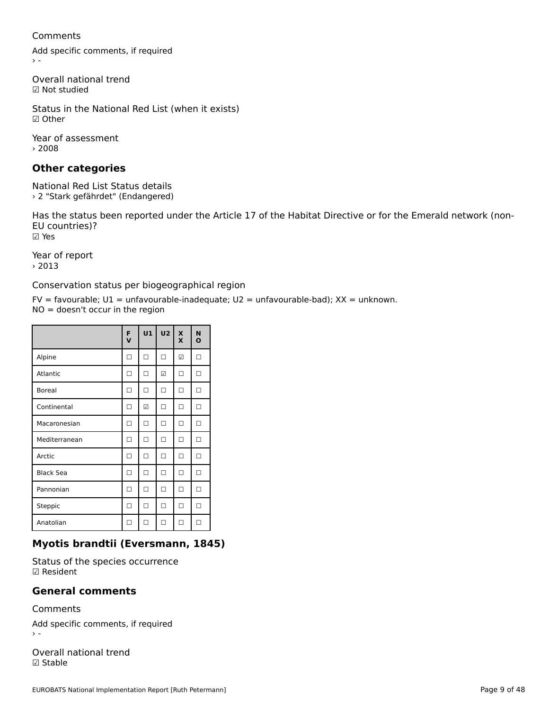### Comments

Add specific comments, if required

Overall national trend ☑ Not studied

Status in the National Red List (when it exists) ☑ Other

Year of assessment › 2008

# **Other categories**

National Red List Status details › 2 "Stark gefährdet" (Endangered)

Has the status been reported under the Article 17 of the Habitat Directive or for the Emerald network (non-EU countries)?EU countries)? ☑ Yes

Year of report › 2013

Conservation status per biogeographical region

FV = favourable; U1 = unfavourable-inadequate; U2 = unfavourable-bad); XX = unknown.  $NO = doesn't occur in the region$ 

|                  | F<br>$\mathbf v$ | U1 | U <sub>2</sub> | $\mathbf x$<br>$\mathbf x$ | N<br>O |
|------------------|------------------|----|----------------|----------------------------|--------|
| Alpine           | П                | □  | □              | ☑                          | П      |
| Atlantic         | П                | □  | ☑              | П                          | П      |
| <b>Boreal</b>    | П                | □  | □              | П                          | П      |
| Continental      | П                | ☑  | □              | □                          | П      |
| Macaronesian     | п                | П  | п              | п                          | П      |
| Mediterranean    | п                | П  | п              | п                          | П      |
| Arctic           | п                | п  | п              | П                          | П      |
| <b>Black Sea</b> | п                | п  | п              | п                          | п      |
| Pannonian        | п                | п  | п              | п                          | П      |
| Steppic          | п                | П  | п              | П                          | П      |
| Anatolian        | п                | п  | п              | п                          | п      |

# **Myotis brandtii (Eversmann, 1845)**

Status of the species occurrence ☑ Resident

### **General comments**

Comments

Add specific comments, if required

Overall national trend ☑ Stable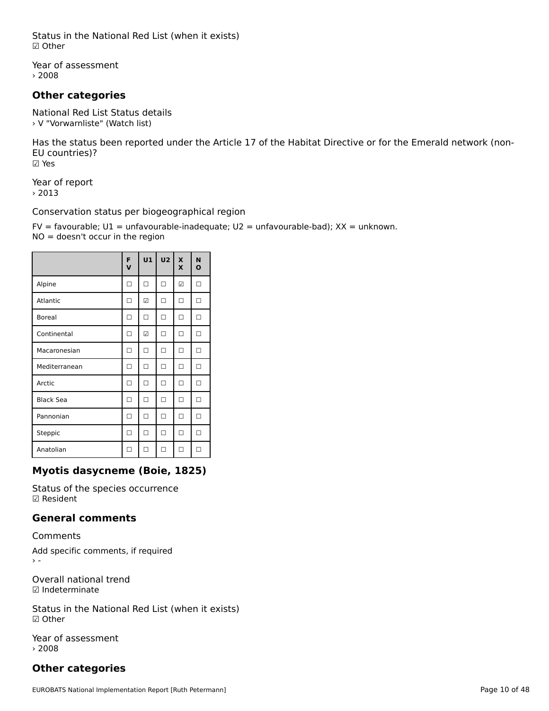Status in the National Red List (when it exists) ☑ Other

Year of assessment › 2008

# **Other categories**

National Red List Status details › V "Vorwarnliste" (Watch list)

Has the status been reported under the Article 17 of the Habitat Directive or for the Emerald network (non-EU countries)? ☑ Yes

Year of report › 2013

Conservation status per biogeographical region

FV = favourable; U1 = unfavourable-inadequate; U2 = unfavourable-bad); XX = unknown. IV – lavourable, OI – unlavoura<br>NO = doesn't occur in the region

|                  | F<br>$\mathbf v$ | U1     | U <sub>2</sub> | $\boldsymbol{\mathsf{x}}$<br>X | N<br>O |
|------------------|------------------|--------|----------------|--------------------------------|--------|
| Alpine           | п                | $\Box$ | п              | ☑                              | П      |
| Atlantic         | П                | ☑      | п              | п                              | п      |
| <b>Boreal</b>    | п                | П      | п              | п                              | п      |
| Continental      | п                | ☑      | п              | П                              | П      |
| Macaronesian     | П                | п      | п              | п                              | П      |
| Mediterranean    | п                | □      | п              | □                              | П      |
| Arctic           | п                | П      | п              | п                              | П      |
| <b>Black Sea</b> | п                | П      | п              | □                              | п      |
| Pannonian        | п                | П      | п              | П                              | п      |
| Steppic          | п                | П      | п              | п                              | п      |
| Anatolian        | П                | п      | п              | п                              |        |

# **Myotis dasycneme (Boie, 1825)**

Status of the species occurrence ☑ Resident

# **General comments**

Comments

Add specific comments, if required nu<br>> -

Overall national trend☑ Indeterminate

Status in the National Red List (when it exists) ☑ Other

Year of assessment › 2008

# **Other categories**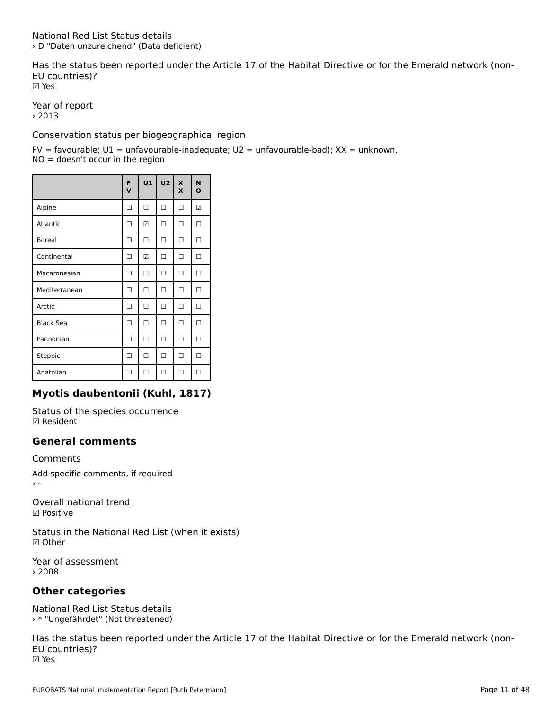Has the status been reported under the Article 17 of the Habitat Directive or for the Emerald network (non-EU countries)?EU countries)? ☑ Yes

Year of report › 2013

Conservation status per biogeographical region

FV = favourable; U1 = unfavourable-inadequate; U2 = unfavourable-bad); XX = unknown. IV – lavourable, OI – unlavoura<br>NO = doesn't occur in the region

|                  | F<br>$\mathbf v$ | U1 | U2 | $\boldsymbol{\mathsf{x}}$<br>X | N<br>O |
|------------------|------------------|----|----|--------------------------------|--------|
| Alpine           | П                | □  | □  | п                              | ☑      |
| Atlantic         | п                | ☑  | п  | п                              | п      |
| <b>Boreal</b>    | п                | п  | п  | п                              | п      |
| Continental      | п                | ☑  | п  | п                              | п      |
| Macaronesian     | п                | п  | п  | п                              | п      |
| Mediterranean    | ┑                | п  | п  | п                              | п      |
| Arctic           | ┑                | п  | п  | п                              | п      |
| <b>Black Sea</b> |                  | п  | п  | п                              | п      |
| Pannonian        | ┑                | п  | п  | п                              | п      |
| Steppic          |                  | п  | п  | п                              | п      |
| Anatolian        |                  | ┑  | п  |                                |        |

# **Myotis daubentonii (Kuhl, 1817)**

Status of the species occurrence ☑ Resident

## **General comments**

Comments

Add specific comments, if required

Overall national trend☑ Positive

Status in the National Red List (when it exists) ☑ Other

Year of assessment › 2008

# **Other categories**

National Red List Status details› \* "Ungefährdet" (Not threatened)

Has the status been reported under the Article 17 of the Habitat Directive or for the Emerald network (non-EU countries)?EU countries)?<br>☑ Yes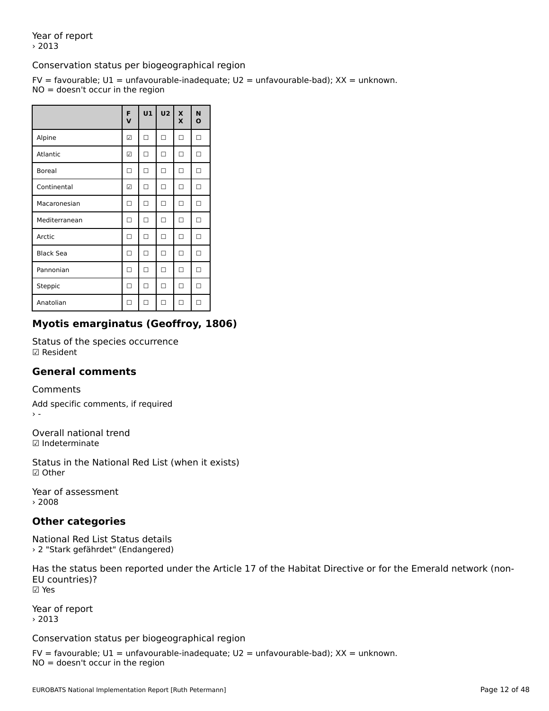Year of report› 2013

## Conservation status per biogeographical region

FV = favourable; U1 = unfavourable-inadequate; U2 = unfavourable-bad); XX = unknown. IV – lavourable, OI – unlavoura<br>NO = doesn't occur in the region

|                  | F<br>$\mathbf v$ | U1 | U <sub>2</sub> | $\boldsymbol{\mathsf{x}}$<br>X | N<br>$\mathbf{o}$ |
|------------------|------------------|----|----------------|--------------------------------|-------------------|
| Alpine           | ☑                | П  | п              | п                              | п                 |
| Atlantic         | ☑                | П  | п              | п                              | п                 |
| <b>Boreal</b>    | П                | П  | п              | П                              | п                 |
| Continental      | ☑                | □  | п              | □                              | п                 |
| Macaronesian     | п                | П  | п              | п                              | П                 |
| Mediterranean    | П                | п  | п              | п                              | п                 |
| Arctic           | п                | П  | П              | П                              | п                 |
| <b>Black Sea</b> | П                | П  | п              | П                              | П                 |
| Pannonian        | п                | П  | п              | п                              | п                 |
| Steppic          | П                | П  | п              | п                              | п                 |
| Anatolian        |                  | п  | п              | п                              |                   |

# **Myotis emarginatus (Geoffroy, 1806)**

Status of the species occurrence ☑ Resident

### **General comments**

Comments

Add specific comments, if required

Overall national trend ☑ Indeterminate

Status in the National Red List (when it exists) ☑ Other

Year of assessment › 2008

# **Other categories**

National Red List Status details › 2 "Stark gefährdet" (Endangered)

Has the status been reported under the Article 17 of the Habitat Directive or for the Emerald network (non-EU countries)?☑ Yes

Year of report › 2013

Conservation status per biogeographical region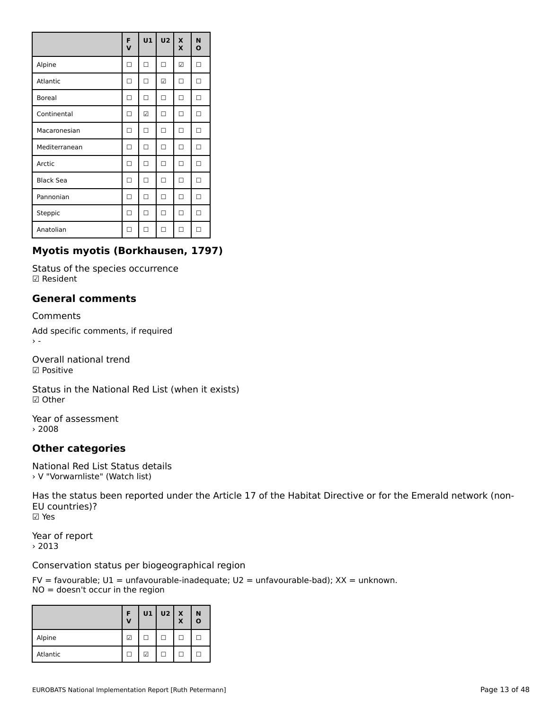|                  | F<br>$\overline{\mathsf{v}}$ | <b>U1</b> | U <sub>2</sub> | X<br>X | N<br>$\mathbf{o}$ |
|------------------|------------------------------|-----------|----------------|--------|-------------------|
| Alpine           | п                            | п         | П              | ☑      | П                 |
| Atlantic         | п                            | П         | ☑              | п      | П                 |
| <b>Boreal</b>    | п                            | П         | П              | п      | П                 |
| Continental      | п                            | ☑         | П              | п      | п                 |
| Macaronesian     | п                            | п         | п              | п      | п                 |
| Mediterranean    | п                            | П         | п              | п      | п                 |
| Arctic           | п                            | п         | п              | п      | п                 |
| <b>Black Sea</b> | п                            | п         | п              | п      | П                 |
| Pannonian        | п                            | п         | п              | п      | П                 |
| Steppic          | п                            | п         | п              | п      | п                 |
| Anatolian        |                              | п         | п              |        |                   |

# **Myotis myotis (Borkhausen, 1797)**

Status of the species occurrence ☑ Resident

# **General comments**

Comments

Add specific comments, if required  $\rightarrow$   $-$ 

Overall national trend ☑ Positive

Status in the National Red List (when it exists) ☑ Other

Year of assessment › 2008

# **Other categories**

National Red List Status details › V "Vorwarnliste" (Watch list)

Has the status been reported under the Article 17 of the Habitat Directive or for the Emerald network (non-EU countries)?EU countries)? ☑ Yes

Year of report › 2013

Conservation status per biogeographical region

|          | Ð<br>$\mathbf v$ |   | $U1$ $U2$ $X$ | X | N<br>$\mathbf{o}$ |
|----------|------------------|---|---------------|---|-------------------|
| Alpine   | ☑                |   |               |   |                   |
| Atlantic |                  | ☑ |               |   |                   |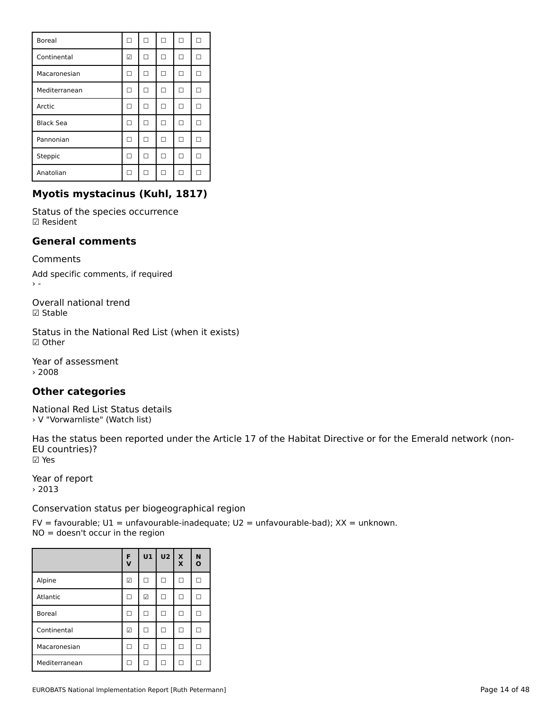| <b>Boreal</b>    | п  | п  | I٦ | п            |  |
|------------------|----|----|----|--------------|--|
| Continental      | ☑  | п  | H  | H            |  |
| Macaronesian     | П  | □  | п  | п            |  |
| Mediterranean    | П  | □  | ı. | H            |  |
| Arctic           | п  | п  | п  | п            |  |
| <b>Black Sea</b> | п  | п  | □  | п            |  |
| Pannonian        | п  | п  | п  | п            |  |
| Steppic          | п  | п  | п  | П            |  |
| Anatolian        | 17 | ι٦ | ı. | $\mathsf{L}$ |  |

# **Myotis mystacinus (Kuhl, 1817)**

Status of the species occurrence ☑ Resident

# **General comments**

Comments

Add specific comments, if required  $\rightarrow$   $-$ 

Overall national trend☑ Stable

Status in the National Red List (when it exists) ☑ Other

Year of assessment › 2008

# **Other categories**

National Red List Status details › V "Vorwarnliste" (Watch list)

Has the status been reported under the Article 17 of the Habitat Directive or for the Emerald network (non-EU countries)?EU countries)? ☑ Yes

Year of report › 2013

Conservation status per biogeographical region

|               | F<br>$\mathbf v$ | U1 | U2  | $\frac{\mathsf{x}}{\mathsf{x}}$ | N<br>$\mathbf{o}$ |
|---------------|------------------|----|-----|---------------------------------|-------------------|
| Alpine        | ☑                | ΙI |     | H                               |                   |
| Atlantic      |                  | ☑  | n 1 | П                               |                   |
| <b>Boreal</b> |                  | п  | H   | п                               |                   |
| Continental   | ☑                | п  | H   | п                               |                   |
| Macaronesian  |                  | п  | n 1 | п                               |                   |
| Mediterranean |                  | п  | H   | п                               |                   |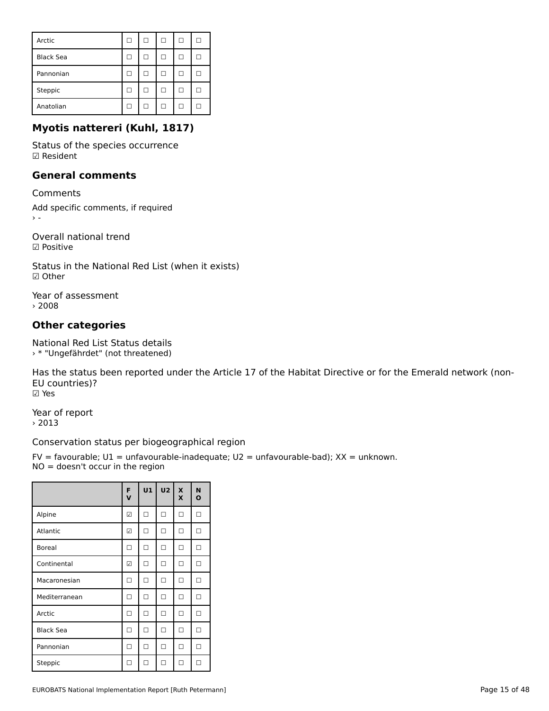| Arctic           | L | L |    | ш |  |
|------------------|---|---|----|---|--|
| <b>Black Sea</b> |   |   |    |   |  |
| Pannonian        |   | L |    |   |  |
| Steppic          |   | L | H. |   |  |
| Anatolian        |   |   |    |   |  |

# **Myotis nattereri (Kuhl, 1817)**

Status of the species occurrence ☑ Resident

# **General comments**

Comments

Add specific comments, if required  $\bar{\Sigma}$  =

Overall national trend ☑ Positive

Status in the National Red List (when it exists) ☑ Other

Year of assessment › 2008

# **Other categories**

National Red List Status details › \* "Ungefährdet" (not threatened)

Has the status been reported under the Article 17 of the Habitat Directive or for the Emerald network (non-EU countries)?EU countries)? ☑ Yes

Year of report › 2013

Conservation status per biogeographical region

FV = favourable; U1 = unfavourable-inadequate; U2 = unfavourable-bad); XX = unknown.  $NO = doesn't occur in the region$ 

|                  | F<br>$\mathbf v$ | U1 | U <sub>2</sub> | $\boldsymbol{\mathsf{x}}$<br>X | N<br>$\mathbf{o}$ |
|------------------|------------------|----|----------------|--------------------------------|-------------------|
| Alpine           | ☑                | □  | □              | □                              | П                 |
| Atlantic         | ☑                | п  | п              | □                              | □                 |
| <b>Boreal</b>    | □                | □  | □              | □                              | □                 |
| Continental      | ☑                | □  | п              | □                              | □                 |
| Macaronesian     | п                | п  | п              | □                              | □                 |
| Mediterranean    | п                | □  | п              | □                              | □                 |
| Arctic           | □                | □  | п              | □                              | □                 |
| <b>Black Sea</b> | □                | □  | □              | □                              | □                 |
| Pannonian        | п                | □  | □              | $\Box$                         | □                 |
| Steppic          | П                |    | ┑              |                                | п                 |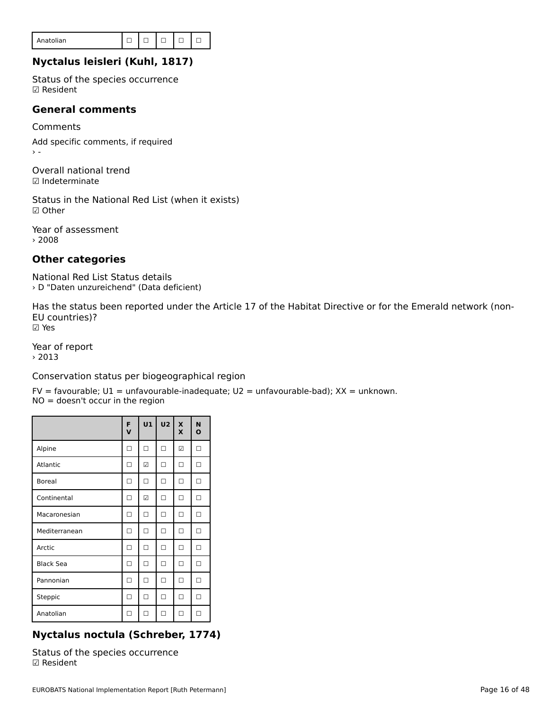| Anatolian |  |  |  |  |  |  |
|-----------|--|--|--|--|--|--|
|-----------|--|--|--|--|--|--|

# **Nyctalus leisleri (Kuhl, 1817)**

Status of the species occurrence ☑ Resident

# **General comments**

Comments Add specific comments, if required

Overall national trend☑ Indeterminate

Status in the National Red List (when it exists)

Year of assessment › 2008

# **Other categories**

National Red List Status details › D "Daten unzureichend" (Data deficient)

Has the status been reported under the Article 17 of the Habitat Directive or for the Emerald network (non-EU countries)?EU countries)?<br>☑ Yes

Year of report

› 2013

Conservation status per biogeographical region

FV = favourable; U1 = unfavourable-inadequate; U2 = unfavourable-bad); XX = unknown. IV – lavourable, OI – unlavoura<br>NO = doesn't occur in the region

|                  | F<br>$\mathbf v$ | U1     | <b>U2</b> | X<br>X | N<br>$\mathbf o$ |
|------------------|------------------|--------|-----------|--------|------------------|
| Alpine           | п                | п      | п         | ☑      | П                |
| Atlantic         | п                | ☑      | п         | п      | П                |
| <b>Boreal</b>    | п                | $\Box$ | п         | $\Box$ | $\Box$           |
| Continental      | п                | ☑      | □         | $\Box$ | □                |
| Macaronesian     | □                | $\Box$ | $\Box$    | $\Box$ | $\Box$           |
| Mediterranean    | □                | □      | □         | □      | □                |
| Arctic           | □                | □      | □         | □      | □                |
| <b>Black Sea</b> | □                | □      | □         | □      | □                |
| Pannonian        | □                | п      | □         | □      | □                |
| Steppic          | п                | П      | п         | п      | П                |
| Anatolian        | П                | □      | п         | п      | п                |

# **Nyctalus noctula (Schreber, 1774)**

Status of the species occurrence ☑ Resident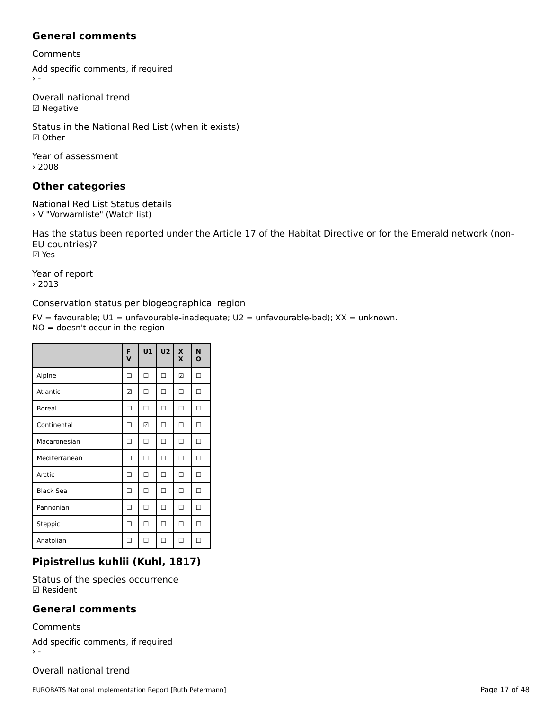## **General comments**

Comments

Add specific comments, if required  $\rightarrow$   $-$ 

Overall national trend ☑ Negative

Status in the National Red List (when it exists) ☑ Other

Year of assessment › 2008

# **Other categories**

National Red List Status details › V "Vorwarnliste" (Watch list)

Has the status been reported under the Article 17 of the Habitat Directive or for the Emerald network (non-EU countries)?EU countries)? ☑ Yes

Year of report › 2013

Conservation status per biogeographical region

FV = favourable; U1 = unfavourable-inadequate; U2 = unfavourable-bad); XX = unknown. IV – lavourable, OI – unlavoura<br>NO = doesn't occur in the region

|                  | F<br>$\mathbf v$ | U1 | U <sub>2</sub> | X<br>X | N<br>$\mathbf{o}$ |
|------------------|------------------|----|----------------|--------|-------------------|
| Alpine           | п                | П  | □              | ☑      | П                 |
| Atlantic         | ☑                | п  | п              | п      | П                 |
| <b>Boreal</b>    | п                | п  | п              | п      | П                 |
| Continental      | п                | ☑  | п              | п      | П                 |
| Macaronesian     | п                | п  | п              | п      | П                 |
| Mediterranean    | п                | п  | п              | п      | П                 |
| Arctic           | П                | □  | □              | п      | □                 |
| <b>Black Sea</b> | п                | □  | □              | п      | □                 |
| Pannonian        | п                | □  | п              | п      | □                 |
| Steppic          | п                | П  | п              | п      | □                 |
| Anatolian        |                  | п  | п              | п      | п                 |

## **Pipistrellus kuhlii (Kuhl, 1817)**

Status of the species occurrence ☑ Resident

## **General comments**

Comments

Add specific comments, if required

Overall national trend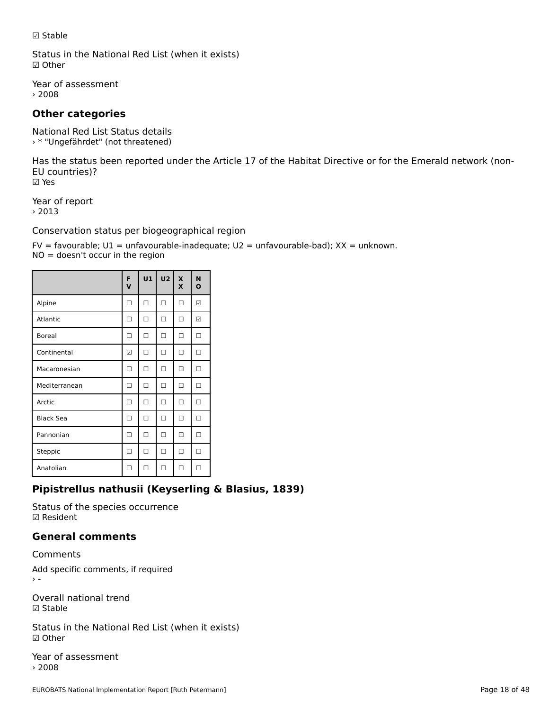☑ Stable

Status in the National Red List (when it exists) ☑ Other

Year of assessment › 2008

# **Other categories**

National Red List Status details › \* "Ungefährdet" (not threatened)

Has the status been reported under the Article 17 of the Habitat Directive or for the Emerald network (non-EU countries)?EU countries)? ☑ Yes

Year of report › 2013

Conservation status per biogeographical region

FV = favourable; U1 = unfavourable-inadequate; U2 = unfavourable-bad); XX = unknown. IV – lavourable, OI – unlavoura<br>NO = doesn't occur in the region

|                  | F<br>v | U1 | $\mathsf{u}\mathsf{z}$ | $\mathbf{x}$<br>X | N<br>$\mathbf{o}$ |
|------------------|--------|----|------------------------|-------------------|-------------------|
| Alpine           | П      | □  | □                      | □                 | ☑                 |
| Atlantic         | п      | □  | □                      | □                 | ☑                 |
| <b>Boreal</b>    | п      | П  | □                      | п                 | п                 |
| Continental      | ☑      | П  | □                      | п                 | п                 |
| Macaronesian     | п      | п  | п                      | п                 | п                 |
| Mediterranean    | ┐      | п  | п                      | п                 | п                 |
| Arctic           | п      | п  | п                      | п                 | п                 |
| <b>Black Sea</b> | ┑      | П  | п                      | п                 | п                 |
| Pannonian        | ┑      | п  | п                      | п                 | п                 |
| Steppic          |        | п  | п                      | п                 | □                 |
| Anatolian        |        |    | ┑                      |                   |                   |

# **Pipistrellus nathusii (Keyserling & Blasius, 1839)**

Status of the species occurrence ☑ Resident

# **General comments**

Comments

Add specific comments, if required

Overall national trend ☑ Stable

Status in the National Red List (when it exists) ☑ Other

Year of assessment › 2008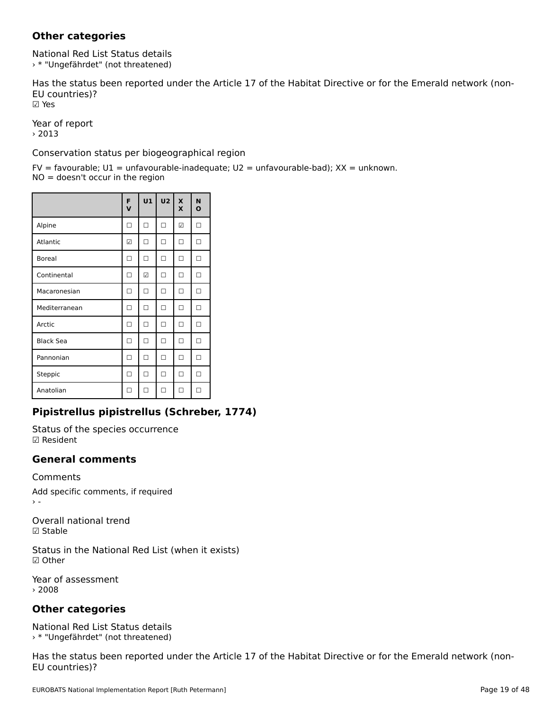# **Other categories**

National Red List Status details › \* "Ungefährdet" (not threatened)

Has the status been reported under the Article 17 of the Habitat Directive or for the Emerald network (non-EU countries)?EU countries)? ☑ Yes

Year of report › 2013

Conservation status per biogeographical region

FV = favourable; U1 = unfavourable-inadequate; U2 = unfavourable-bad); XX = unknown.  $NO = doesn't occur in the region$ 

|                  | F<br>$\mathbf v$ | U1     | U2 | $\boldsymbol{\mathsf{x}}$<br>X | N<br>O |
|------------------|------------------|--------|----|--------------------------------|--------|
| Alpine           | П                | □      | □  | ☑                              | □      |
| Atlantic         | ☑                | П      | □  | □                              | □      |
| <b>Boreal</b>    | П                | □      | □  | □                              | □      |
| Continental      | П                | ☑      | □  | □                              | □      |
| Macaronesian     | П                | П      | □  | $\Box$                         | $\Box$ |
| Mediterranean    | □                | □      | □  | □                              | □      |
| Arctic           | □                | $\Box$ | □  | □                              | □      |
| <b>Black Sea</b> | □                | □      | □  | □                              | □      |
| Pannonian        | □                | □      | □  | □                              | □      |
| Steppic          | □                | □      | □  | □                              | □      |
| Anatolian        | П                | П      | п  | □                              | □      |

# **Pipistrellus pipistrellus (Schreber, 1774)**

Status of the species occurrence ☑ Resident

## **General comments**

Comments

Add specific comments, if required

Overall national trend☑ Stable

Status in the National Red List (when it exists) ☑ Other

Year of assessment › 2008

# **Other categories**

National Red List Status details › \* "Ungefährdet" (not threatened)

Has the status been reported under the Article 17 of the Habitat Directive or for the Emerald network (non-EU countries)?EU countries)?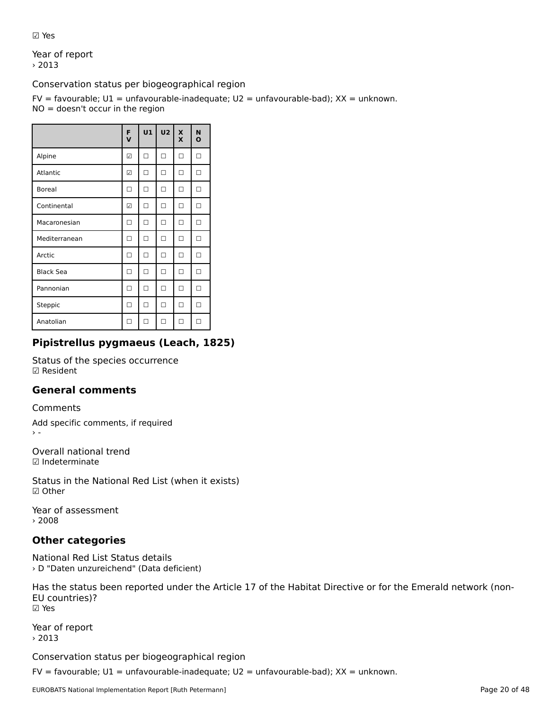☑ Yes

Year of report › 2013

Conservation status per biogeographical region

FV = favourable; U1 = unfavourable-inadequate; U2 = unfavourable-bad); XX = unknown.  $NO = doesn't occur in the region$ 

|                  | F<br>$\mathbf v$ | U1 | U <sub>2</sub> | $\mathbf{x}$<br>X | N<br>$\mathbf{o}$ |
|------------------|------------------|----|----------------|-------------------|-------------------|
| Alpine           | ☑                | п  | п              | $\Box$            | П                 |
| Atlantic         | ☑                | П  | п              | □                 | П                 |
| <b>Boreal</b>    | п                | П  | п              | п                 | п                 |
| Continental      | ☑                | П  | п              | п                 | п                 |
| Macaronesian     | п                | п  | п              | □                 | п                 |
| Mediterranean    | П                | П  | п              | □                 | П                 |
| Arctic           | П                | П  | п              | п                 | п                 |
| <b>Black Sea</b> | П                | п  | п              | п                 | п                 |
| Pannonian        | П                | п  | п              | п                 | п                 |
| Steppic          | П                | П  | п              | □                 | П                 |
| Anatolian        | п                | ┑  | п              | п                 | П                 |

# **Pipistrellus pygmaeus (Leach, 1825)**

Status of the species occurrence ☑ Resident

# **General comments**

Comments

Add specific comments, if required

Overall national trend☑ Indeterminate

Status in the National Red List (when it exists) ☑ Other

Year of assessment › 2008

# **Other categories**

National Red List Status details › D "Daten unzureichend" (Data deficient)

Has the status been reported under the Article 17 of the Habitat Directive or for the Emerald network (non-EU countries)?EU countries)? ☑ Yes

Year of report › 2013

Conservation status per biogeographical region

FV = favourable; U1 = unfavourable-inadequate; U2 = unfavourable-bad); XX = unknown.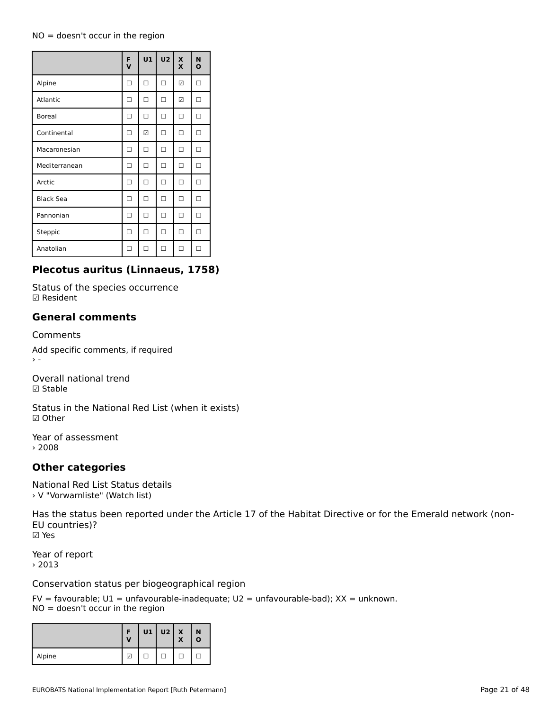## NO = doesn't occur in the region

|                  | F<br>$\mathbf v$ | U1 | U <sub>2</sub> | $\boldsymbol{\mathsf{x}}$<br>X | N<br>$\mathbf o$ |
|------------------|------------------|----|----------------|--------------------------------|------------------|
| Alpine           | П                | П  | п              | ☑                              | П                |
| Atlantic         | п                | п  | п              | ☑                              | П                |
| <b>Boreal</b>    | п                | п  | п              | □                              | П                |
| Continental      | п                | ☑  | п              | □                              | П                |
| Macaronesian     | п                | п  | п              | п                              | П                |
| Mediterranean    | П                | п  | п              | П                              | П                |
| Arctic           | П                | П  | п              | п                              | п                |
| <b>Black Sea</b> | п                | П  | п              | п                              | п                |
| Pannonian        | п                | П  | п              | п                              | п                |
| Steppic          | п                | П  | п              | п                              | п                |
| Anatolian        | ۰                | п  | п              | п                              | п                |

# **Plecotus auritus (Linnaeus, 1758)**

Status of the species occurrence ☑ Resident

### **General comments**

#### Comments

Add specific comments, if required

Overall national trend ☑ Stable

Status in the National Red List (when it exists) ☑ Other

Year of assessment › 2008

## **Other categories**

National Red List Status details › V "Vorwarnliste" (Watch list)

Has the status been reported under the Article 17 of the Habitat Directive or for the Emerald network (non-EU countries)?EU countries)? ☑ Yes

Year of report › 2013

Conservation status per biogeographical region

|        | E<br>V | $U1$ $U2$ $X$ | X | N<br>ο |
|--------|--------|---------------|---|--------|
| Alpine | M      |               |   |        |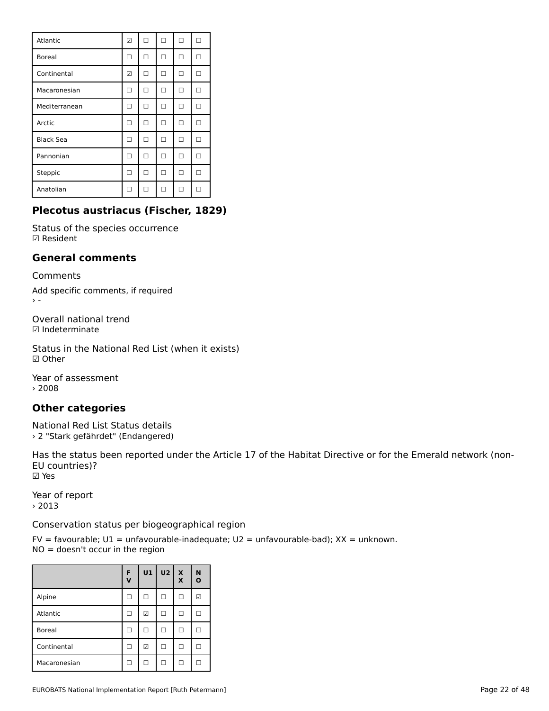| Atlantic         | ☑   | п | п | п | п |
|------------------|-----|---|---|---|---|
| <b>Boreal</b>    | п   | П | п | п | П |
| Continental      | ☑   | п | □ | □ | П |
| Macaronesian     | ┓   | п | п | п | п |
| Mediterranean    | - 1 | п | п | п | п |
| Arctic           | Π   | П | п | п | п |
| <b>Black Sea</b> | п   | п | п | □ | п |
| Pannonian        | ┓   | п | п | п | п |
| Steppic          | п   | п | п | п | п |
| Anatolian        | H   | П | п | П |   |

# **Plecotus austriacus (Fischer, 1829)**

Status of the species occurrence ☑ Resident

## **General comments**

Comments

Add specific comments, if required

Overall national trend☑ Indeterminate

Status in the National Red List (when it exists) ☑ Other

Year of assessment › 2008

# **Other categories**

National Red List Status details › 2 "Stark gefährdet" (Endangered)

Has the status been reported under the Article 17 of the Habitat Directive or for the Emerald network (non-EU countries)?EU countries)? ☑ Yes

Year of report › 2013

Conservation status per biogeographical region

|               | F<br>$\mathbf v$ | U1 | U <sub>2</sub> | $\left  \begin{array}{c} x \\ x \end{array} \right $ | N<br>$\mathbf{o}$ |
|---------------|------------------|----|----------------|------------------------------------------------------|-------------------|
| Alpine        | ΙI               | L  | $\mathsf{L}$   | п                                                    | ☑                 |
| Atlantic      | ΙI               | ☑  | П              |                                                      |                   |
| <b>Boreal</b> | H                | ш  |                | $\mathbf{L}$                                         |                   |
| Continental   | ΙI               | ☑  |                | L                                                    |                   |
| Macaronesian  | H                | L  | $\mathsf{L}$   | H                                                    |                   |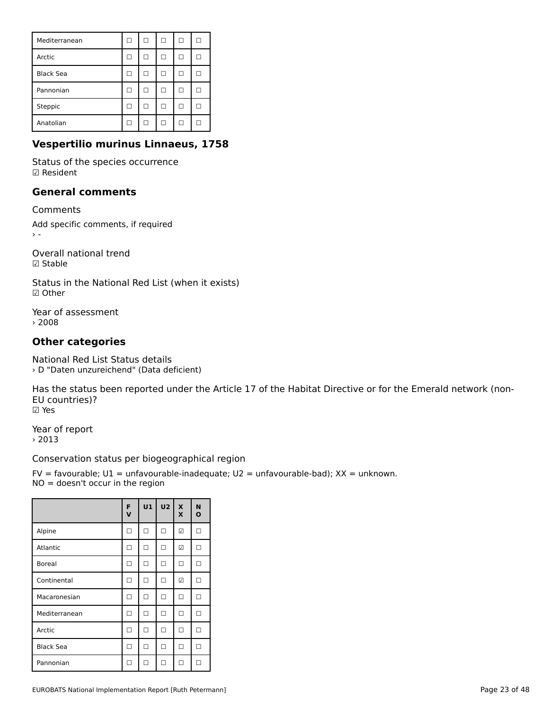| Mediterranean    | H | H            |   | H            |   |
|------------------|---|--------------|---|--------------|---|
| Arctic           |   | П            |   | п            | L |
| <b>Black Sea</b> | ш | H            | L | п            | L |
| Pannonian        |   | $\mathbf{L}$ |   | H            |   |
| Steppic          |   |              |   | L            |   |
| Anatolian        |   | H            |   | $\mathsf{L}$ |   |

# **Vespertilio murinus Linnaeus, 1758**

Status of the species occurrence ☑ Resident

### **General comments**

Comments

Add specific comments, if required

Overall national trend☑ Stable

Status in the National Red List (when it exists) ☑ Other

Year of assessment › 2008

# **Other categories**

National Red List Status details › D "Daten unzureichend" (Data deficient)

Has the status been reported under the Article 17 of the Habitat Directive or for the Emerald network (non-EU countries)?EU countries)? ☑ Yes

Year of report › 2013

## Conservation status per biogeographical region

|                  | F<br>V | U1 | U <sub>2</sub> | $\boldsymbol{\mathsf{x}}$<br>X | N<br>$\mathbf{o}$ |
|------------------|--------|----|----------------|--------------------------------|-------------------|
| Alpine           | п      | □  | □              | ☑                              | П                 |
| Atlantic         | п      | П  | п              | ☑                              | П                 |
| <b>Boreal</b>    | □      | □  | □              | □                              | П                 |
| Continental      | п      | □  | п              | ☑                              | П                 |
| Macaronesian     | ┐      | □  | п              | п                              | П                 |
| Mediterranean    | п      | п  | п              | п                              | П                 |
| Arctic           | п      | □  | □              | п                              | П                 |
| <b>Black Sea</b> | п      | □  | □              | □                              | П                 |
| Pannonian        |        | ┑  |                |                                |                   |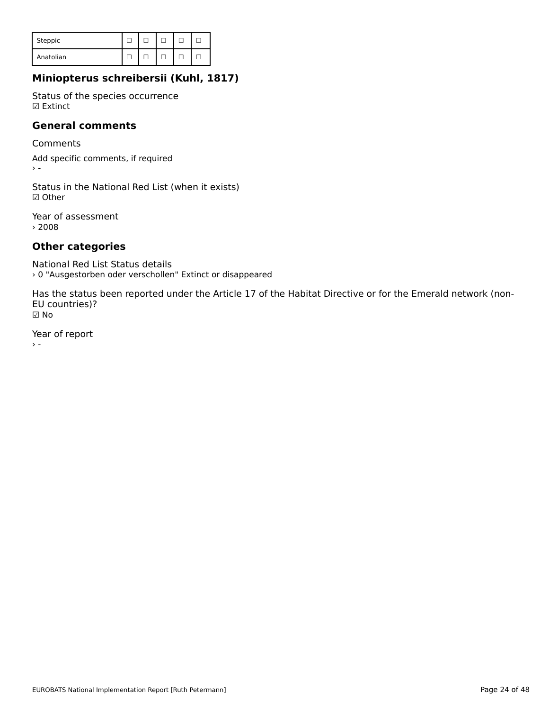| Steppic   |  |  |  |
|-----------|--|--|--|
| Anatolian |  |  |  |

# **Miniopterus schreibersii (Kuhl, 1817)**

Status of the species occurrence ☑ Extinct

### **General comments**

Comments

Add specific comments, if required  $\rightarrow -$ 

Status in the National Red List (when it exists) ☑ Other

Year of assessment › 2008

# **Other categories**

National Red List Status details › 0 "Ausgestorben oder verschollen" Extinct or disappeared

Has the status been reported under the Article 17 of the Habitat Directive or for the Emerald network (non-EU countries)?EU countries)? ☑ No

Year of report  $\rightarrow$   $\sim$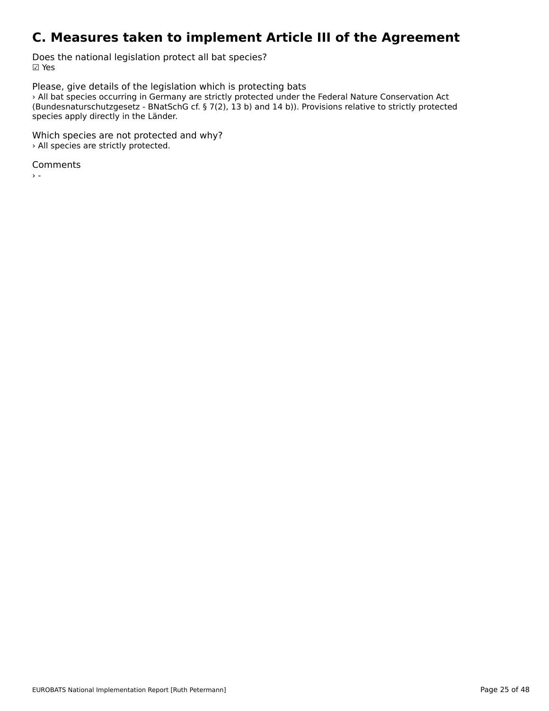# **C. Measures taken to implement Article III of the Agreement**

Does the national legislation protect all bat species? ☑ Yes

Please, give details of the legislation which is protecting bats All bat species occurring in Germany are strictly protected under the Federal Nature Conservation Act<br>All bat species occurring in Germany are strictly protected under the Federal Nature Conservation Act (bundeshaturschutzgesetz - bivaderie ci. y /(z), 15 b) and 14 b)). Frovisions relative to strictly protected species apply directly in the Länder.

Which species are not protected and why? › All species are strictly protected.

Comments

 $\sim$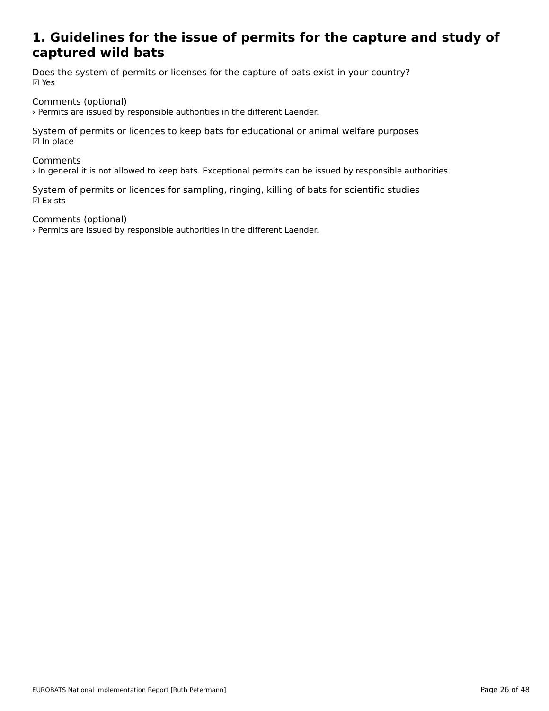### **1. Guidelines for the issue of permits for the capture and study ofcaptured wild bate**<br>continued wild bate captured wild bats

Does the system of permits or licenses for the capture of bats exist in your country? ☑ Yes

Comments (optional)

› Permits are issued by responsible authorities in the different Laender.

System of permits or licences to keep bats for educational or animal welfare purposes  $\boxdot$  In place

#### **Comments**

› In general it is not allowed to keep bats. Exceptional permits can be issued by responsible authorities.

System of permits or licences for sampling, ringing, killing of bats for scientific studies ☑ Exists

Comments (optional)

› Permits are issued by responsible authorities in the different Laender.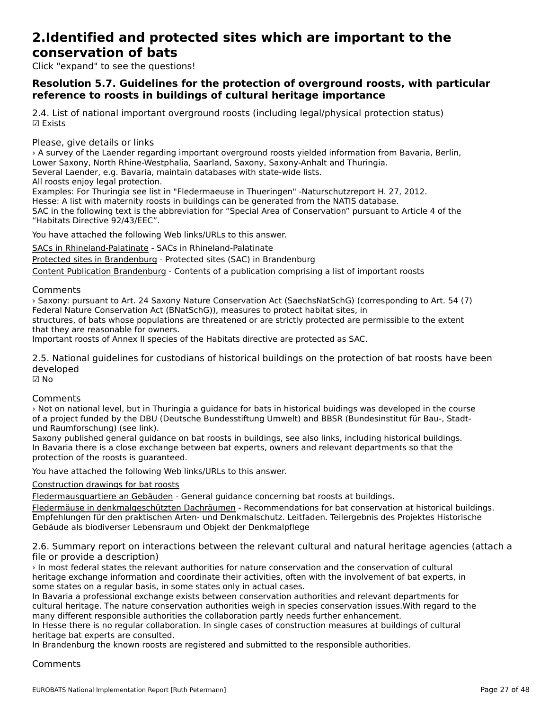### **2.Identified and protected sites which are important to the conservation of bats**conservation of bats

Click "expand" to see the questions!

## **Resolution 5.7. Guidelines for the protection of overground roosts, with particular reference to roosts in buildings of cultural heritage importance**reference to roosts in buildings of cultural heritage importance

2.4. List of national important overground roosts (including legal/physical protection status) ☑ Exists

Please, give details or links

› A survey of the Laender regarding important overground roosts yielded information from Bavaria, Berlin, Lower Saxony, North Rhine-Westphalia, Saarland, Saxony, Saxony-Anhalt and Thuringia. Lower Saxony, North Knine-Westphana, Saanand, Saxony, Saxony-Annai<br>Several Laender, e.g. Bavaria, maintain databases with state-wide lists.

Several Laender, e.g. Bavaria, in<br>All roosts enjoy legal protection.

Examples: For Thuringia see list in "Fledermaeuse in Thueringen" -Naturschutzreport H. 27, 2012.

Hesse: A list with maternity roosts in buildings can be generated from the NATIS database.

SAC in the following text is the abbreviation for "Special Area of Conservation" pursuant to Article 4 of the "Habitats Directive 92/43/EEC".

You have attached the following Web links/URLs to this answer.

SACs in Rhineland-Palatinate - SACs in Rhineland-Palatinate

**Bridgen Himmeland Fallenhard** Bridgen Framidiana Fallenhard<br>[Protected sites in Brandenbu](http://www.naturschutz.rlp.de/?q=ffh-gebiete)rg - Protected sites (SAC) in Brandenburg

[Content Publication Brandenb](https://lfu.brandenburg.de/cms/detail.php/bb1.c.379375.de)[urg](https://lfu.brandenburg.de/media_fast/4055/fmaus_inhalt.pdf) - Contents of a publication comprising a list of important roosts

## Comments

› Saxony: pursuant to Art. 24 Saxony Nature Conservation Act (SaechsNatSchG) (corresponding to Art. 54 (7) Federal Nature Conservation Act (BNatSchG)), measures to protect habitat sites, in

rederar nature conservation Act (BivatSchG)), measures to protect nabitat sites, in<br>structures, of bats whose populations are threatened or are strictly protected are permissible to the extent structures, or bats whose population.<br>that they are reasonable for owners.

Important roosts of Annex II species of the Habitats directive are protected as SAC.

2.5. National guidelines for custodians of historical buildings on the protection of bat roosts have been developed

☑ No

#### Comments

› Not on national level, but in Thuringia a guidance for bats in historical buidings was developed in the course of a project funded by the DBU (Deutsche Bundesstiftung Umwelt) and BBSR (Bundesinstitut für Bau-, Stadtund Raumforschung) (see link).und Raumforschung) (see link).

Saxony published general guidance on bat roosts in buildings, see also links, including historical buildings. In Bavaria there is a close exchange between bat experts, owners and relevant departments so that the In Bavaria there is a close exchange be<br>protection of the roosts is guaranteed.

You have attached the following Web links/URLs to this answer.

[Construction drawings for bat roosts](https://publikationen.sachsen.de/bdb/artikel/22958/documents/32722)

Fledermausquartiere an Gebäuden - General guidance concerning bat roosts at buildings.

Treatmansgaarnere am Sepadaen Verheiter geneeme concerning pacticoses de bandings.<br>[Fledermäuse in denkmalgeschützte](https://publikationen.sachsen.de/bdb/artikel/22958/documents/41904)n Dachräumen - Recommendations for bat conservation at historical buildings. <u>riedermause in denkmalgeschutzten Dachradmen</u> - Recommendations för bat conservation at mistorical bullum<br>[Empfehlungen für den praktischen Arten- und Den](http://www.thueringen.de/mam/th1/denkmalpflege/fledermaeuse_in_denkmalgeschuetzten_dachraeumen.pdf)kmalschutz. Leitfaden. Teilergebnis des Projektes Historische Empremangen für den praktischen Arten- und Denkmalschutz. Leitra<br>Gebäude als biodiverser Lebensraum und Objekt der Denkmalpflege

2.6. Summary report on interactions between the relevant cultural and natural heritage agencies (attach a

› In most federal states the relevant authorities for nature conservation and the conservation of cultural heritage exchange information and coordinate their activities, often with the involvement of bat experts, in nentage exchange information and coordinate their activities, often<br>some states on a regular basis, in some states only in actual cases.

some states on a regular basis, in some states only in actual cases.<br>In Bavaria a professional exchange exists between conservation authorities and relevant departments for In Bavaria a professional exchange exists between conservation authorities and refevant departments for cultural heritage. The nature conservation authorities weigh in species conservation issues. With regard to the many different responsible authorities the collaboration partly needs further enhancement.

Indity unterent responsible authorities the collaboration partly needs further enhancement.<br>In Hesse there is no regular collaboration. In single cases of construction measures at buildings of cultural In riesse there is no regular collabo<br>heritage bat experts are consulted.

nentage bat experts are consulted.<br>In Brandenburg the known roosts are registered and submitted to the responsible authorities.

### **Comments**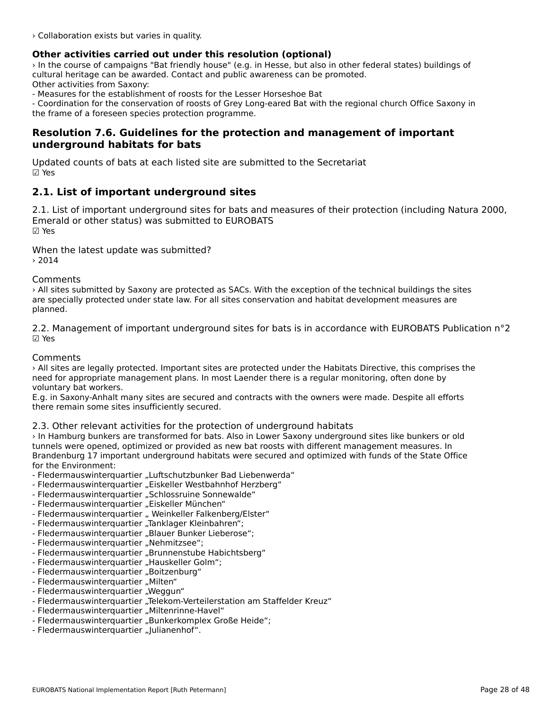› Collaboration exists but varies in quality.

## **Other activities carried out under this resolution (optional)**

› In the course of campaigns "Bat friendly house" (e.g. in Hesse, but also in other federal states) buildings of cultural heritage can be awarded. Contact and public awareness can be promoted. Other activities from Saxony:

- Measures for the establishment of roosts for the Lesser Horseshoe Bat

- Measures for the establishment of roosts for the Lesser Horseshoe Bat<br>- Coordination for the conservation of roosts of Grey Long-eared Bat with the regional church Office Saxony in the frame of a foreseen species protection programme.

# **Resolution 7.6. Guidelines for the protection and management of important underground habitats for bats**

Updated counts of bats at each listed site are submitted to the Secretariat ☑ Yes

# **2.1. List of important underground sites**

2.1. List of important underground sites for bats and measures of their protection (including Natura 2000, Emerald or other status) was submitted to EUROBATS ☑ Yes

When the latest update was submitted?  $> 2014$ 

#### Comments

› All sites submitted by Saxony are protected as SACs. With the exception of the technical buildings the sites Are steed submitted by Saxony are protected as SACs. With the exception of the technical buildings the size of  $\alpha$ planned.

2.2. Management of important underground sites for bats is in accordance with EUROBATS Publication n°2 ☑ Yes

**Comments** 

› All sites are legally protected. Important sites are protected under the Habitats Directive, this comprises the The stress are regary protected. Important sites are protected under the Habitats Directive, this compition is<br>need for appropriate management plans. In most Laender there is a regular monitoring, often done by voluntary bat workers.

E.g. in Saxony-Anhalt many sites are secured and contracts with the owners were made. Despite all efforts L.y. in Jaxuny-Annait many sites are secured a<br>there remain some sites insufficiently secured.

## 2.3. Other relevant activities for the protection of underground habitats

› In Hamburg bunkers are transformed for bats. Also in Lower Saxony underground sites like bunkers or oldtunnels were opened, optimized or provided as new bat roosts with different management measures. In Brandenburg 17 important underground habitats were secured and optimized with funds of the State Office **Drandenburg 17 mp**<br>for the Environment:

- ior the Environment.<br>- Fledermauswinterquartier "Luftschutzbunker Bad Liebenwerda"
- Fledermauswinterquartier "Eiskeller Westbahnhof Herzberg"
- Fledermauswinterquartier "Eiskeiler westbahnnor Herz<br>- Fledermauswinterquartier "Schlossruine Sonnewalde"
- Fledermauswinterquartier "Eiskeller München"
- Fledermauswinterquartier " Liskeller Munchen<br>- Fledermauswinterquartier " Weinkeller Falkenberg/Elster"
- Fledermauswinterquartier ", weihkeller Faikenberg/r<br>- Fledermauswinterquartier "Tanklager Kleinbahren";
- Fledermauswinterquartier "Janklager Kleinbannen",<br>- Fledermauswinterquartier "Blauer Bunker Lieberose";
- Hedermauswinterquartier "Blauer Bunker<br>- Fledermauswinterquartier "Nehmitzsee";
- Fledermauswinterquartier "Brunnenstube Habichtsberg"
- Fledermauswinterquartier "Brunnenstube Hat<br>- Fledermauswinterquartier "Hauskeller Golm";
- Fledermauswinterquartier "Boitzenburg"
- Fledermauswinterquartier "Boltzen<br>- Fledermauswinterquartier "Milten"
- Fledermauswinterquartier "Milteri<br>- Fledermauswinterquartier "Weggun"
- Fledermauswinterquartier "weggun<br>- Fledermauswinterquartier "Telekom-Verteilerstation am Staffelder Kreuz"
- Fledermauswinterquartier "Ielekom-verteilerst<br>- Fledermauswinterquartier "Miltenrinne-Havel"
- Fledermauswinterquartier "Milterminie-Haver<br>- Fledermauswinterquartier "Bunkerkomplex Große Heide";
- Fledermauswinterquartier "Burikerkompr<br>- Fledermauswinterquartier "Julianenhof".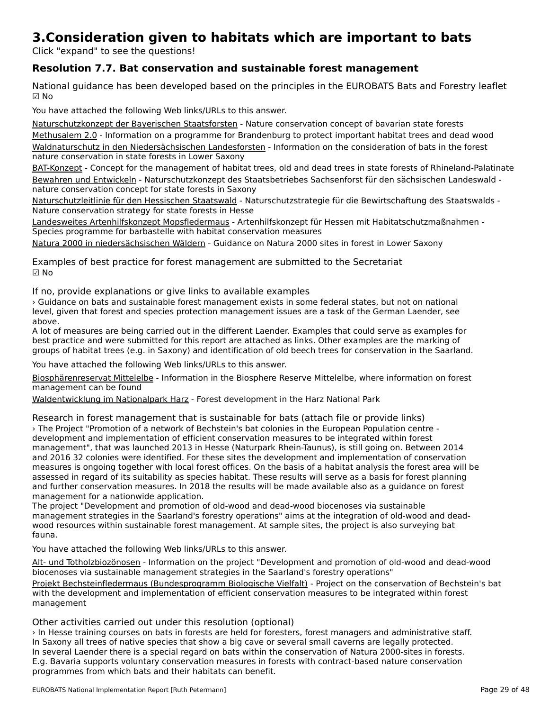# **3.Consideration given to habitats which are important to bats**

Click "expand" to see the questions!

# **Resolution 7.7. Bat conservation and sustainable forest management**

National guidance has been developed based on the principles in the EUROBATS Bats and Forestry leaflet  $\boxdot$  No

You have attached the following Web links/URLs to this answer.

Naturschutzkonzept der Bayerischen Staatsforsten - Nature conservation concept of bavarian state forests

**[Methusalem 2.0 - Information on a programme for](http://www.baysf.de/fileadmin/user_upload/03-wald_schuetzen/pdf/Naturschutzkonzept_Bayerische_Staatsforsten.pdf) Brandenburg to protect important habitat trees and dead wood Waldnaturschutz in den Niedersächsischen Landesforsten** - Information on the consideration of bats in the forest<br>Waldnaturschutz in den Niedersächsischen Landesforsten - Information on the consideration of bats in the for

BAT-Konzept - Concept for the management of habitat trees, old and dead trees in state forests of Rhineland-Palatinate [Bewahren un](https://www.wald-rlp.de/fileadmin/website/forstamtsseiten/trier/bilder/Infothek/BAT-Konzept_RhlPf_August_2011.pdf)d Entwickeln - Naturschutzkonzept des Staatsbetriebes Sachsenforst für den sächsischen Landeswald <u>bewannen und Entwickenn</u> - Naturschutzkonzept des Sta<br>[nature conservation conce](https://publikationen.sachsen.de/bdb/artikel/29737/documents/43435)pt for state forests in Saxony

nature eenservation eeneep vor state rerests in Sunen,<br>Naturschutzleitlinie für den Hessischen Staatswald - Naturschutzstrategie für die Bewirtschaftung des Staatswalds -Nature conservation strategy for state forests in Hesse

Landesweites Artenhilfskonzept Mopsfledermaus - Artenhilfskonzept für Hessen mit Habitatschutzmaßnahmen - <u>candeswertes Artenninskonzept Mopshedermads</u> - Artenninskonzept fur<br>[Species programme for barbastelle with habitat c](https://www.hlnug.de/fileadmin/dokumente/naturschutz/artenschutz/steckbriefe/Fledermause/Hilfskonzepte/artenhilfskonzept_2007_mopsfledermaus_barbastella_barbastellus.pdf)onservation measures

[Natura 2000 in niedersächsischen Wäldern](http://www.ml.niedersachsen.de/download/127803/NATURA_2000_in_niedersaechsischen_Waeldern_-_Leitfaden_fuer_die_Praxis_1._Auflage_Stand_20.02.2018.pdf) - Guidance on Natura 2000 sites in forest in Lower Saxony

Examples of best practice for forest management are submitted to the Secretariat ☑ No

If no, provide explanations or give links to available examples

› Guidance on bats and sustainable forest management exists in some federal states, but not on national ountance on bacs and suscainable forest management exists in some rederar states, but not on national<br>level, given that forest and species protection management issues are a task of the German Laender, see above.

A lot of measures are being carried out in the different Laender. Examples that could serve as examples for A for or measures are being carried out in the unferent Laender. Examples that could serve as examples it<br>best practice and were submitted for this report are attached as links. Other examples are the marking of groups of habitat trees (e.g. in Saxony) and identification of old beech trees for conservation in the Saarland.

You have attached the following Web links/URLs to this answer.

Biosphärenreservat Mittelelbe - Information in the Biosphere Reserve Mittelelbe, where information on forest **[management can be found](https://www.mittelelbe.com/mittelelbe/biosphaerenreservat/natur/lebensraeume/lebensraeume.html)**<br>management can be found

[Waldentwicklung im Nationalpark Harz](https://www.nationalpark-harz.de/de/der-nationalpark-harz/waldentwicklung/) - Forest development in the Harz National Park

Research in forest management that is sustainable for bats (attach file or provide links) › The Project "Promotion of a network of Bechstein's bat colonies in the European Population centre development and implementation of efficient conservation measures to be integrated within forest management", that was launched 2013 in Hesse (Naturpark Rhein-Taunus), is still going on. Between 2014 and 2016 32 colonies were identified. For these sites the development and implementation of conservationmeasures is ongoing together with local forest offices. On the basis of a habitat analysis the forest area will be assessed in regard of its suitability as species habitat. These results will serve as a basis for forest planning assessed in regard of its suitability as species habitat. These results will serve as a basis for forest planning<br>and further conservation measures. In 2018 the results will be made available also as a quidance on forest and further conservation measures. In 201<br>management for a nationwide application.

The project "Development and promotion of old-wood and dead-wood biocenoses via sustainable management strategines in the Saarland's forestry operations" and dead-wood blue integrations of old-wood and deadwood resources within sustainable forest management. At sample sites, the project is also survey in the project would resources within sustainable forest management. At sample sites, the project is also surveying bat

You have attached the following Web links/URLs to this answer.

Alt- und Totholzbiozönosen - Information on the project "Development and promotion of old-wood and dead-wood All- and numbizonozonosen</u> - information on the project Development and promotion or o<br>[biocenoses via sustainable](https://www.saarland.de/223818.htm) management strategies in the Saarland's forestry operations"

Projekt Bechsteinfledermaus (Bundesprogramm Biologische Vielfalt) - Project on the conservation of Bechstein's bat Trojekt bechstemmedermads (bundesprogramm biologische vienalt) - Froject on the conservation of bechste<br>[with the development and implementation of efficient conservation](https://www.bechsteinfledermaus.eu/de/be/das_projekt/das_projekt/) measures to be integrated within forest with the deve<br>management

Other activities carried out under this resolution (optional)

› In Hesse training courses on bats in forests are held for foresters, forest managers and administrative staff. In Saxony all trees of native species that show a big cave or several small caverns are legally protected. In saxony all trees of hative species that show a big cave or several sinali cavents are legally protected.<br>In several Laender there is a special regard on bats within the conservation of Natura 2000-sites in forests. In several Laender there is a special regard on bats within the conservation or Natura 2000-sites in forests.<br>E.g. Bavaria supports voluntary conservation measures in forests with contract-based nature conservation programmes from which bats and their habitats can benefit.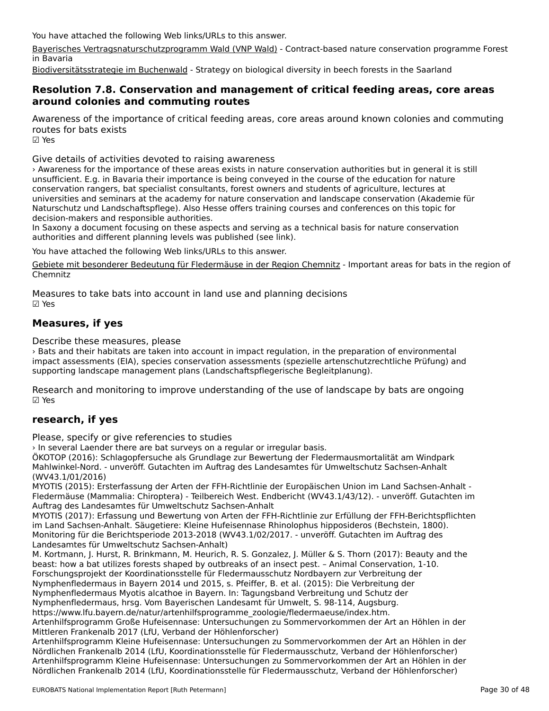You have attached the following Web links/URLs to this answer.

[Bayerisches Vertragsnaturschutzprogramm Wald \(VNP Wald\)](https://www.stmuv.bayern.de/themen/naturschutz/foerderung/vnp_wald.htm) - Contract-based nature conservation programme Forest<br>in Baussie in Bavaria

... Sacare.<br>[Biodiversitätsstrategie im Buchenwald](https://www.saarland.de/223819.htm) - Strategy on biological diversity in beech forests in the Saarland

## **Resolution 7.8. Conservation and management of critical feeding areas, core areas around colonies and commuting routes**around colonies and commuting routes

Awareness of the importance of critical feeding areas, core areas around known colonies and commuting routes for bats exists☑ Yes

Give details of activities devoted to raising awareness

› Awareness for the importance of these areas exists in nature conservation authorities but in general it is still unsufficient. E.g. in Bavaria their importance is being conveyed in the course of the education for nature conservation rangers, bat specialist consultants, forest owners and students of agriculture, lectures at universities and seminars at the academy for nature conservation and landscape conservation (Akademie für Naturschutz und Landschaftspflege). Also Hesse offers training courses and conferences on this topic for decision-makers and responsible authorities.

In Saxony a document focusing on these aspects and serving as a technical basis for nature conservation an baxdify a document focusing on these aspects and serving as a<br>authorities and different planning levels was published (see link).

You have attached the following Web links/URLs to this answer.

[Gebiete mit besonderer Bedeutung für Fledermäuse in der Region Chemnitz](https://www.pv-rc.de/publikationen/fledermaus_web.zip) - Important areas for bats in the region of Chemnitz

Measures to take bats into account in land use and planning decisions ☑ Yes

# **Measures, if yes**

Describe these measures, please

› Bats and their habitats are taken into account in impact regulation, in the preparation of environmental impact assessments (EIA), species conservation assessments (spezielle artenschutzrechtliche Prüfung) and supporting landscape management plans (Landschaftspflegerische Begleitplanung).

Research and monitoring to improve understanding of the use of landscape by bats are ongoing

# **research, if yes**

Please, specify or give referencies to studies

› In several Laender there are bat surveys on a regular or irregular basis.

ÖKOTOP (2016): Schlagopfersuche als Grundlage zur Bewertung der Fledermausmortalität am WindparkMahlwinkel-Nord. - unveröff. Gutachten im Auftrag des Landesamtes für Umweltschutz Sachsen-Anhalt (WV43.1/01/2016)

MYOTIS (2015): Ersterfassung der Arten der FFH-Richtlinie der Europäischen Union im Land Sachsen-Anhalt - Fledermäuse (Mammalia: Chiroptera) - Teilbereich West. Endbericht (WV43.1/43/12). - unveröff. Gutachten im Auftrag des Landesamtes für Umweltschutz Sachsen-Anhalt

Auftrag des Landesamtes für Omweitschutz Sachsen-Annalt<br>MYOTIS (2017): Erfassung und Bewertung von Arten der FFH-Richtlinie zur Erfüllung der FFH-Berichtspflichten im Land Sachsen-Anhalt. Säugetiere: Kleine Hufeisennase Rhinolophus hipposideros (Bechstein, 1800). mi Land Sachsen-Annait. Saugetiere. Kielle Huleisenhase Kniholophus inppositeitos (Bechstein, 1800)<br>Monitoring für die Berichtsperiode 2013-2018 (WV43.1/02/2017. - unveröff. Gutachten im Auftrag des Landesamtes für Umweltschutz Sachsen-Anhalt)

M. Kortmann, J. Hurst, R. Brinkmann, M. Heurich, R. S. Gonzalez, J. Müller & S. Thorn (2017): Beauty and the m. Kortmann, j. nurst, K. Brinkmann, M. Heunch, K. S. Gonzalez, J. Muller & S. Hiom (2017). Beauty a<br>beast: how a bat utilizes forests shaped by outbreaks of an insect pest. – Animal Conservation, 1-10. Forschungsprojekt der Koordinationsstelle für Fledermausschutz Nordbayern zur Verbreitung der Nymphenfledermaus in Bayern 2014 und 2015, s. Pfeiffer, B. et al. (2015): Die Verbreitung der Nymphenfledermaus Myotis alcathoe in Bayern. In: Tagungsband Verbreitung und Schutz der

Nymphenfledermaus, hrsg. Vom Bayerischen Landesamt für Umwelt, S. 98-114, Augsburg.

https://www.lfu.bayern.de/natur/artenhilfsprogramme\_zoologie/fledermaeuse/index.htm.

nttps://www.nu.bayenn.ue/natur/artenhilfsprogramme\_zoologie/neuennaeuse/index.ntm.<br>Artenhilfsprogramm Große Hufeisennase: Untersuchungen zu Sommervorkommen der Art an Höhlen in der Artenninsprogramm Große Hüfersehnase. Untersuchungen zu<br>Mittleren Frankenalb 2017 (LfU, Verband der Höhlenforscher)

Artenhilfsprogramm Kleine Hufeisennase: Untersuchungen zu Sommervorkommen der Art an Höhlen in der Artenhinsprogramm Kielne Hüfelsenhase. Ontersuchungen zu Sommervorkommen der Art am nomen in di<br>Nördlichen Frankenalb 2014 (LfU, Koordinationsstelle für Fledermausschutz, Verband der Höhlenforscher) Artenhilfsprogramm Kleine Hufeisennase: Untersuchungen zu Sommervorkommen der Art an Höhlen in der Antenninsprogramm Kielne nufelsennase. Ontersuchungen zu bommervorkommen der Art am nomen in di<br>Nördlichen Frankenalb 2014 (LfU, Koordinationsstelle für Fledermausschutz, Verband der Höhlenforscher)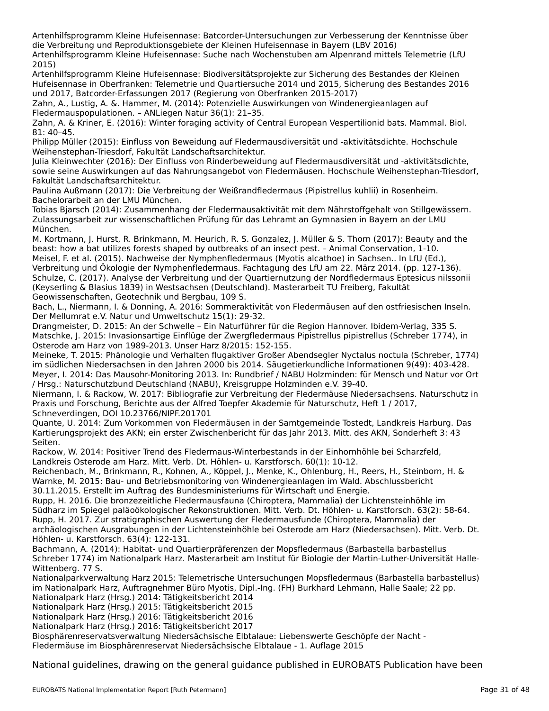Artenhilfsprogramm Kleine Hufeisennase: Batcorder-Untersuchungen zur Verbesserung der Kenntnisse über die Verbreitung und Reproduktionsgebiete der Kleinen Hufeisennase in Bayern (LBV 2016) Artenhilfsprogramm Kleine Hufeisennase: Suche nach Wochenstuben am Alpenrand mittels Telemetrie (LfU 2015)

Artenhilfsprogramm Kleine Hufeisennase: Biodiversitätsprojekte zur Sicherung des Bestandes der Kleinen Artenninsprogramm Kielne nufelsennase. Diodiversitatsprojekte zur Sicherung des Bestandes der Kielnen<br>Hufeisennase in Oberfranken: Telemetrie und Quartiersuche 2014 und 2015, Sicherung des Bestandes 2016 nuiersenhase in Oberhanken. Telemetrie und Quartiersuche 2014 und 2015, Sich<br>und 2017, Batcorder-Erfassungen 2017 (Regierung von Oberfranken 2015-2017)

Zahn, A., Lustig, A. &. Hammer, M. (2014): Potenzielle Auswirkungen von Windenergieanlagen auf Fledermauspopulationen. – ANLiegen Natur 36(1): 21–35.

riedermadspopulationen. – Anclegen Natur 30(1). 21–33.<br>Zahn, A. & Kriner, E. (2016): Winter foraging activity of Central European Vespertilionid bats. Mammal. Biol.

Philipp Müller (2015): Einfluss von Beweidung auf Fledermausdiversität und -aktivitätsdichte. Hochschule Weihenstephan-Triesdorf, Fakultät Landschaftsarchitektur.

weinenstephan-inesuon, rakuitat Lanuschaltsarchitektur.<br>Julia Kleinwechter (2016): Der Einfluss von Rinderbeweidung auf Fledermausdiversität und -aktivitätsdichte, Julia Klehrwechter (2010). Der Einhuss von Kinderbeweidung auf Hedermausdiversität und Faktivitätsdichte,<br>Sowie seine Auswirkungen auf das Nahrungsangebot von Fledermäusen. Hochschule Weihenstephan-Triesdorf,

rakuitat Lanuschantsarchitektur.<br>Paulina Außmann (2017): Die Verbreitung der Weißrandfledermaus (Pipistrellus kuhlii) in Rosenheim. raumia Ausmann (2017). Die verbrei<br>Bachelorarbeit an der LMU München.

Tobias Bjarsch (2014): Zusammenhang der Fledermausaktivität mit dem Nährstoffgehalt von Stillgewässern. Zulassungsarbeit zur wissenschaftlichen Prüfung für das Lehramt an Gymnasien in Bayern an der LMU München.

M. Kortmann, J. Hurst, R. Brinkmann, M. Heurich, R. S. Gonzalez, J. Müller & S. Thorn (2017): Beauty and the beast: how a bat utilizes forests shaped by outbreaks of an insect pest. – Animal Conservation, 1-10.<br>beast: how a bat utilizes forests shaped by outbreaks of an insect pest. – Animal Conservation, 1-10. Meisel, F. et al. (2015). Nachweise der Nymphenfledermaus (Myotis alcathoe) in Sachsen.. In LfU (Ed.),Verbreitung und Ökologie der Nymphenfledermaus. Fachtagung des LfU am 22. März 2014. (pp. 127-136). verbreitung und Okologie der Nymphemiedermads. Fachtagung des Ero am 22. Marz 2014. (pp. 127-130).<br>Schulze, C. (2017). Analyse der Verbreitung und der Quartiernutzung der Nordfledermaus Eptesicus nilssonii (Keyserling & Blasius 1839) in Westsachsen (Deutschland). Masterarbeit TU Freiberg, Fakultät Geowissenschaften, Geotechnik und Bergbau, 109 S.

Bach, L., Niermann, I. & Donning, A. 2016: Sommeraktivität von Fledermäusen auf den ostfriesischen Inseln. Bach, E., Niemiann, i. & Donning, A. 2010. Sommeraktivit.<br>Der Mellumrat e.V. Natur und Umweltschutz 15(1): 29-32.

Der Mendrinat e.V. Natur und Oniwenschutz 15(1). 29-32.<br>Drangmeister, D. 2015: An der Schwelle – Ein Naturführer für die Region Hannover. Ibidem-Verlag, 335 S. Drangmeister, D. 2015: An der Schweile – Ein Naturfuhrer für die Neglon Hannover. Ibideni-verlag, 333-3.<br>Matschke, J. 2015: Invasionsartige Einflüge der Zwergfledermaus Pipistrellus pipistrellus (Schreber 1774), in Osterode am Harz von 1989-2013. Unser Harz 8/2015: 152-155.

Meineke, T. 2015: Phänologie und Verhalten flugaktiver Großer Abendsegler Nyctalus noctula (Schreber, 1774) im südlichen Niedersachsen in den Jahren 2000 bis 2014. Säugetierkundliche Informationen 9(49): 403-428. mi sudiktien Niedersachsen in den Jahren 2000 bis 2014. Saugederkundliche Informationen 9(49). 405-426.<br>Meyer, I. 2014: Das Mausohr-Monitoring 2013. In: Rundbrief / NABU Holzminden: für Mensch und Natur vor Ort

/ Hrsg.: Naturschutzbund Deutschland (NABU), Kreisgruppe Holzminden e.V. 39-40.

Niermann, I. & Rackow, W. 2017: Bibliografie zur Verbreitung der Fledermäuse Niedersachsens. Naturschutz in Niemiann, I. & Kackow, W. 2017. Bibliografie zur Verbreitung der Hedermause Niedersachsens.<br>Praxis und Forschung, Berichte aus der Alfred Toepfer Akademie für Naturschutz, Heft 1 / 2017, Schneverdingen, DOI 10.23766/NIPF.201701

Quante, U. 2014: Zum Vorkommen von Fledermäusen in der Samtgemeinde Tostedt, Landkreis Harburg. Das Quante, O. 2014. Zum Vorkommen von Hedermausen in der Samtgemeinde Tosteut, Landkreis Harburg. B<br>Kartierungsprojekt des AKN; ein erster Zwischenbericht für das Jahr 2013. Mitt. des AKN, Sonderheft 3: 43

Rackow, W. 2014: Positiver Trend des Fledermaus-Winterbestands in der Einhornhöhle bei Scharzfeld, Landkreis Osterode am Harz. Mitt. Verb. Dt. Höhlen- u. Karstforsch. 60(1): 10-12.

Reichenbach, M., Brinkmann, R., Kohnen, A., Köppel, J., Menke, K., Ohlenburg, H., Reers, H., Steinborn, H. & Warnke, M. 2015: Bau- und Betriebsmonitoring von Windenergieanlagen im Wald. Abschlussberichtwartike, wi. 2015. Bau- und Beutebsmontoring von windenergiearliagen ihr wald. A<br>30.11.2015. Erstellt im Auftrag des Bundesministeriums für Wirtschaft und Energie.

So.11.2015. Ersteht im Auttrag des Bundesministeriums für Wirtschaft und Energie.<br>Rupp, H. 2016. Die bronzezeitliche Fledermausfauna (Chiroptera, Mammalia) der Lichtensteinhöhle im Südharz im Spiegel paläoökologischer Rekonstruktionen. Mitt. Verb. Dt. Höhlen- u. Karstforsch. 63(2): 58-64. Rupp, H. 2017. Zur stratigraphischen Auswertung der Fledermausfunde (Chiroptera, Mammalia) der

Rupp, II. 2017. Zur stratigraphischen Auswertung der Fledermausfühlte (Chiloptera, Mahmlana) der<br>archäologischen Ausgrabungen in der Lichtensteinhöhle bei Osterode am Harz (Niedersachsen). Mitt. Verb. Dt. archaologischen Ausgrabungen in der L<br>Höhlen- u. Karstforsch. 63(4): 122-131.

Bachmann, A. (2014): Habitat- und Quartierpräferenzen der Mopsfledermaus (Barbastella barbastellus Schreber 1774) im Nationalpark Harz. Masterarbeit am Institut für Biologie der Martin-Luther-Universität Halle-JUNEUEL 1774) II<br>Wittenberg. 77 C. Wittenberg. 77 S.

Nationalparkverwaltung Harz 2015: Telemetrische Untersuchungen Mopsfledermaus (Barbastella barbastellus) im Nationalpark Harz, Auftragnehmer Büro Myotis, Dipl.-Ing. (FH) Burkhard Lehmann, Halle Saale; 22 pp.

nn Nationalpark Harz, Aditräghehmer Buro Myotis, Dipi<br>Nationalpark Harz (Hrsg.) 2014: Tätigkeitsbericht 2014

Nationalpark Harz (Hrsg.) 2015: Tätigkeitsbericht 2015

Nationalpark Harz (Hrsg.) 2016: Tätigkeitsbericht 2016

Nationalpark Harz (Hrsg.) 2016: Tätigkeitsbericht 2017

Biosphärenreservatsverwaltung Niedersächsische Elbtalaue: Liebenswerte Geschöpfe der Nacht -

Fledermäuse im Biosphärenreservat Niedersächsische Elbtalaue - 1. Auflage 2015

National guidelines, drawing on the general guidance published in EUROBATS Publication have been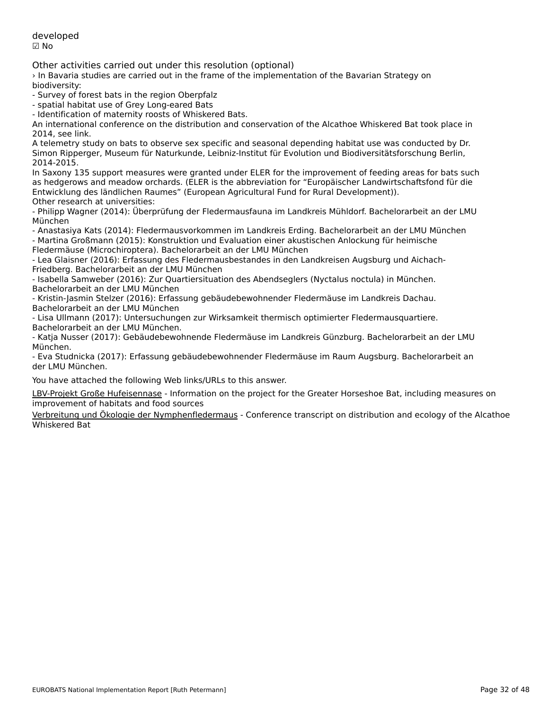developed☑ No

Other activities carried out under this resolution (optional)

› In Bavaria studies are carried out in the frame of the implementation of the Bavarian Strategy on biodiversity:

- Survey of forest bats in the region Oberpfalz

- survey or forest pats in the region Oberpial.<br>- spatial habitat use of Grey Long-eared Bats

- spatial habitat use of Grey Long-eared Bats<br>- Identification of maternity roosts of Whiskered Bats.

An international conference on the distribution and conservation of the Alcathoe Whiskered Bat took place in An internatione<br>2014, see link.

zola, see mik.<br>A telemetry study on bats to observe sex specific and seasonal depending habitat use was conducted by Dr. 2011 - Alpheiger, Museum für Naturkunde, Leibinz-mstitut für Evolution und Bioulversitätsiorschung Berlin, India<br>2014–2015 2014-2015.

In Saxony 135 support measures were granted under ELER for the improvement of feeding areas for bats such as hedgerows and meadow orchards. (ELER is the abbreviation for "Europäischer Landwirtschaftsfond für die as neugerows and meadow orchards. (ELLR is the abbit viation for "Luropaischer Landwirts<br>Entwicklung des ländlichen Raumes" (European Agricultural Fund for Rural Development)). Other research at universities:

- Philipp Wagner (2014): Überprüfung der Fledermausfauna im Landkreis Mühldorf. Bachelorarbeit an der LMU München

- Anastasiya Kats (2014): Fledermausvorkommen im Landkreis Erding. Bachelorarbeit an der LMU München - Martina Großmann (2015): Konstruktion und Evaluation einer akustischen Anlockung für heimische

Fledermäuse (Microchiroptera). Bachelorarbeit an der LMU München

- Lea Glaisner (2016): Erfassung des Fledermausbestandes in den Landkreisen Augsburg und Aichach-Friedberg. Bachelorarbeit an der LMU München

- Isabella Samweber (2016): Zur Quartiersituation des Abendseglers (Nyctalus noctula) in München. Bachelorarbeit an der LMU München

- Kristin-Jasmin Stelzer (2016): Erfassung gebäudebewohnender Fledermäuse im Landkreis Dachau. Bachelorarbeit an der LMU München

Bachelorarbeit an der EMO München<br>- Lisa Ullmann (2017): Untersuchungen zur Wirksamkeit thermisch optimierter Fledermausquartiere.

 - Katja Nusser (2017): Gebäudebewohnende Fledermäuse im Landkreis Günzburg. Bachelorarbeit an der LMU - <sub>Naya wu</sub><br>München.

- Eva Studnicka (2017): Erfassung gebäudebewohnender Fledermäuse im Raum Augsburg. Bachelorarbeit an der LMU München.

You have attached the following Web links/URLs to this answer.

LBV-Projekt Große Hufeisennase - Information on the project for the Greater Horseshoe Bat, including measures on **EDV-FTOJEKT OFOBE TRIFISEMINESE** FINDITING

[Verbreitung und Ökologie der Nymphenfledermaus](https://www.bestellen.bayern.de/application/eshop_app000001?SID=1324677306&ACTIONxSESSxSHOWPIC(BILDxKEY:%27lfu_nat_00312%27,BILDxCLASS:%27Artikel%27,BILDxTYPE:%27PDF%27)) - Conference transcript on distribution and ecology of the Alcathoe Whiskered Bat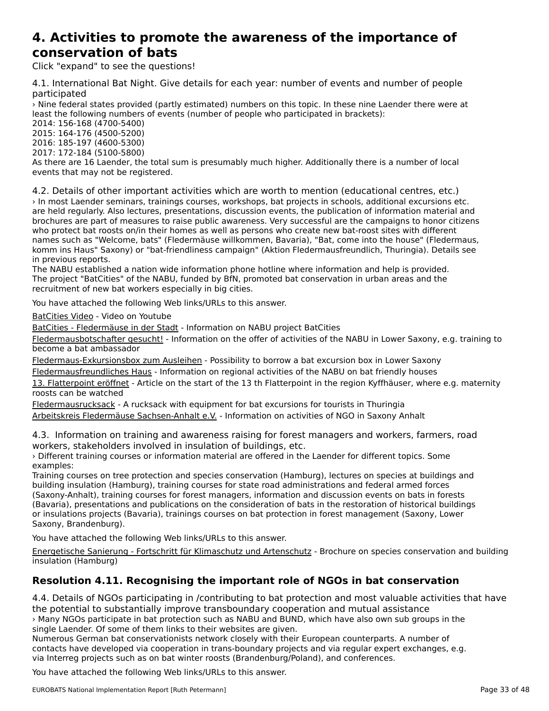### **4. Activities to promote the awareness of the importance ofconservation of bats**<br>**conservation of bats** conservation of bats

Click "expand" to see the questions!

4.1. International Bat Night. Give details for each year: number of events and number of people +.1. internat<br>participated

› Nine federal states provided (partly estimated) numbers on this topic. In these nine Laender there were at least the following numbers of events (number of people who participated in brackets):

2014: 156-168 (4700-5400)2015: 164-176 (4500-5200)

2016: 185-197 (4600-5300)

2017: 172-184 (5100-5800)

As there are 16 Laender, the total sum is presumably much higher. Additionally there is a number of local As there are 10 Laender, the total s<br>events that may not be registered.

4.2. Details of other important activities which are worth to mention (educational centres, etc.) › In most Laender seminars, trainings courses, workshops, bat projects in schools, additional excursions etc. are held regularly. Also lectures, presentations, discussion events, the publication of information material and brochures are part of measures to raise public awareness. Very successful are the campaigns to honor citizens prochares are part of measures to raise public awareness. Very succession are the campaigns to nonor ch<br>who protect bat roosts on/in their homes as well as persons who create new bat-roost sites with different who protect bat foosts on/in their flomes as well as persons who create hew bat-foost sites with unferent<br>names such as "Welcome, bats" (Fledermäuse willkommen, Bavaria), "Bat, come into the house" (Fledermaus, hames such as "welcome, bats" (Hedermause willkommen, bavaria), "bat, come lifto the house" (Hedermaus<br>komm ins Haus" Saxony) or "bat-friendliness campaign" (Aktion Fledermausfreundlich, Thuringia). Details see

In previous reports.<br>The NABU established a nation wide information phone hotline where information and help is provided. The inabo established a hadon wide information phone notine where information and help is provided.<br>The project "BatCities" of the NABU, funded by BfN, promoted bat conservation in urban areas and the rile project Batchles of the NABO, funded by BIN, pro-

You have attached the following Web links/URLs to this answer.

BatCities Video - Video on Youtube

**Batchies Hater** Video on Toutabe<br>[BatCities - Fled](https://www.youtube.com/watch?v=rivCTDfmCvk)[ermäuse in der Stadt](https://www.nabu.de/tiere-und-pflanzen/aktionen-und-projekte/batcities/index.html) - Information on NABU project BatCities

<u>Batennes Thedermadee in der stade</u> "information on these project Batennes"<br>Fledermausbotschafter gesucht! - Information on the offer of activities of the NABU in Lower Saxony, e.g. training to [become a bat ambassador](https://niedersachsen.nabu.de/tiere-und-pflanzen/aktionen-und-projekte/fledermaeuse-in-niedersachsen/index.html)

Fledermaus-Exkursionsbox zum Ausleihen - Possibility to borrow a bat excursion box in Lower Saxony [Fledermausfreundliches Haus - Information](https://niedersachsen.nabu.de/tiere-und-pflanzen/aktionen-und-projekte/fledermaeuse-in-niedersachsen/23500.html) on regional activities of the NABU on bat friendly houses

nation and the start of the start of the 13 th Flatterpoint in the region Kyffhäuser, where e.g. maternity is Flatterpoint eröffnet - Article on the start of the 13 th Flatterpoint in the region Kyffhäuser, where e.g. mate

Fledermausrucksack - A rucksack with equipment for bat excursions for tourists in Thuringia

[Arbeitskreis Flederm](https://www.thueringen-entdecken.de/urlaub-hotel-reisen/fledermausrucksack-155633.html)[äuse Sachsen-Anhalt e.V.](http://www.fledermaus-aksa.de/) - Information on activities of NGO in Saxony Anhalt

4.3. Information on training and awareness raising for forest managers and workers, farmers, road workers, stakeholders involved in insulation of buildings, etc.

› Different training courses or information material are offered in the Laender for different topics. Some examples:

Training courses on tree protection and species conservation (Hamburg), lectures on species at buildings and building insulation (Hamburg), training courses for state road administrations and federal armed forces (Saxony-Anhalt), training courses for forest managers, information and discussion events on bats in forests (Saxony-Annait), training courses for forest managers, information and discussion events on bats in forests<br>(Bavaria), presentations and publications on the consideration of bats in the restoration of historical buildings or insulations projects (Bavaria), trainings courses on bat protection in forest management (Saxony, Lower Saxony, Brandenburg).Saxony, Brandenburg).

You have attached the following Web links/URLs to this answer.

[Energetische Sanierung - Fortschritt für Klimaschutz und Artenschutz](http://www.hamburg.de/contentblob/2192324/1f06e56319c768a16db56dcb486c882b/data/broschuere-klima-artenschutz-2012.pdf) - Brochure on species conservation and building insulation (Hamburg)insulation (Hamburg)

# **Resolution 4.11. Recognising the important role of NGOs in bat conservation**

4.4. Details of NGOs participating in /contributing to bat protection and most valuable activities that have the potential to substantially improve transboundary cooperation and mutual assistance› Many NGOs participate in bat protection such as NABU and BUND, which have also own sub groups in the single Laender. Of some of them links to their websites are given.

single Laender. Or some or them links to their websites are given.<br>Numerous German bat conservationists network closely with their European counterparts. A number of numerous German bat conservationists network closely with their European counterparts. A number of<br>contacts have developed via cooperation in trans-boundary projects and via regular expert exchanges, e.g. via Interreg projects such as on bat winter roosts (Brandenburg/Poland), and conferences.

You have attached the following Web links/URLs to this answer.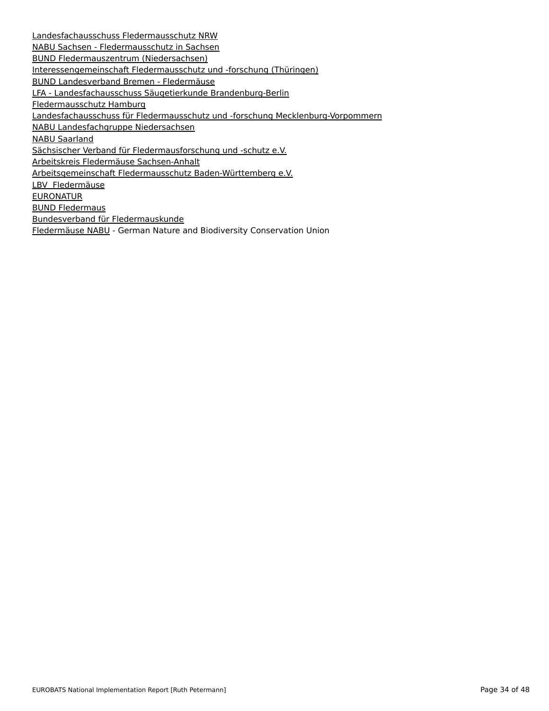Landesfachausschuss Fledermausschutz NRW naburgen and alle the continual service in Sachsen<br>[NABU Sachsen - Fledermausschutz in Sachsen](https://www.fledermausschutz.de/) [BUND Fledermauszentrum \(Niedersachsen\)](https://sachsen.nabu.de/tiereundpflanzen/saeugetiere/19574.html) **[Interessengemeinschaft Fledermausschutz](http://www.bund-fledermauszentrum-hannover.de/) [und -forschung \(Thüringen\)](http://www.fmthuer.de/) BUND Landesverband Bremen - Fledermäuse** <u>Born Eunaesverbana Bremen Treaermaase</u><br>[LFA - Landesfachausschuss Säugetierkunde](https://www.bund-bremen.net/themen/natur-und-landschaft/tiere-pflanzen/fledermaeuse/) [Brandenburg-Berlin](http://www.xn--lfa-sugetiere-ffb.de/) **ERRY EUROLSHEITHUSSCHUSS** [Landesfachausschuss für Fl](https://hamburg.nabu.de/tiere-und-pflanzen/fledermausschutz/index.html)[edermausschutz und -forschung Mecklenburg-Vorpommern](http://www.lfa-fledermausschutz-mv.de/) <u>Landesfachgruppe Niedersachsen</u> **NABU Saarland** n 2008 - Sammen<br>[Sächsischer Ve](http://www.fledermausfreundlich.nabu-saar.de/fledermausfreundlich/)[rband für Fledermausforschung und -schutz e.V.](http://www.fledermausverband.de/) <u>Sachstreis Fredermäuse Sachsen-Anhalt</u><br>Arbeitskreis Fledermäuse Sachsen-Anhalt <u>[Arbeitsgemeinschaft Fledermausschutz B](http://www.fledermaus-aksa.de/)[aden-Württemberg e.V.](http://www.agf-bw.de/)</u><br>Arbeitsgemeinschaft Fledermausschutz Baden-Württemberg e.V. **[LBV Fledermäuse](https://www.lbv.de/naturschutz/artenschutz/saeugetiere/fledermaeuse/)** EURONATUR **[BUND Fleder](https://www.euronatur.org/aktuell/detail/news/fledermaushotel-wieder-gut-belegt/?tx_news_pi1%5Bcontroller%5D=News&tx_news_pi1%5Baction%5D=detail&cHash=29d61b5589afd3d09815e72f2be72ba4)maus [Bundesverband fü](https://www.bund.net/tiere-pflanzen/tiere/saeugetiere/fledermaus/)r Fledermauskunde Example Terms and Texterms Sensilies**<br>[Fledermäuse NABU - German Nature a](http://bvfledermaus.de/)nd Biodiversity Conservation Union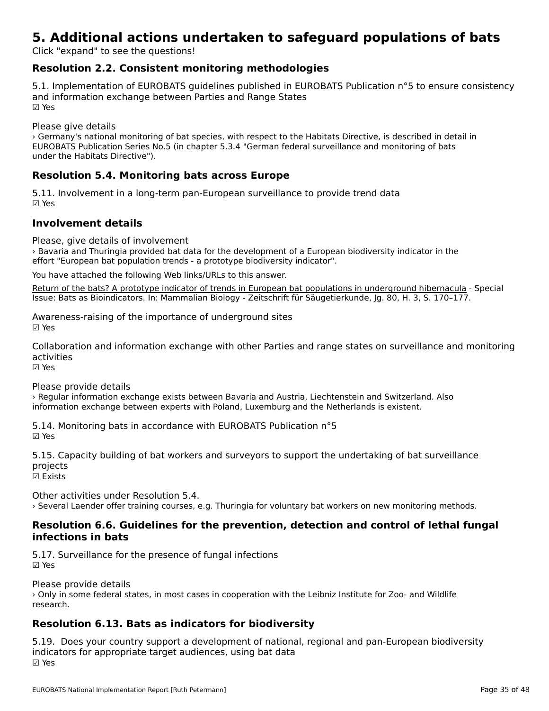# **5. Additional actions undertaken to safeguard populations of bats**

Click "expand" to see the questions!

# **Resolution 2.2. Consistent monitoring methodologies**

5.1. Implementation of EUROBATS guidelines published in EUROBATS Publication n°5 to ensure consistency and information exchange between Parties and Range Statesand information exchange between Parties and Range States ☑ Yes

Please give details

riease give details<br>> Germany's national monitoring of bat species, with respect to the Habitats Directive, is described in detail in LONOMATS PUBLICATION SENSE NO. J (In Chapter 3.3.4 German regeral surveniance and monitoring or bats<br>Indicates Habitats Directive").

# **Resolution 5.4. Monitoring bats across Europe**

5.11. Involvement in a long-term pan-European surveillance to provide trend data ☑ Yes

### **Involvement details**

Please, give details of involvement

› Bavaria and Thuringia provided bat data for the development of a European biodiversity indicator in the effort "European bat population trends - a prototype biodiversity indicator".

You have attached the following Web links/URLs to this answer.

Return of the bats? A prototype indicator of trends in European bat populations in underground hibernacula - Special Issue: Bats as Bioindicators. In: Mammalian Biology - Zeitschrift für Säugetierkunde, Jg. 80, H. 3, S. 170-177.

Awareness-raising of the importance of underground sites ☑ Yes

Collaboration and information exchange with other Parties and range states on surveillance and monitoring activities

☑ Yes

Please provide details

› Regular information exchange exists between Bavaria and Austria, Liechtenstein and Switzerland. Also information exchange between experts with Poland, Luxemburg and the Netherlands is existent.

5.14. Monitoring bats in accordance with EUROBATS Publication n°5☑ Yes

5.15. Capacity building of bat workers and surveyors to support the undertaking of bat surveillance projects<br>☑ Exists

Other activities under Resolution 5.4.› Several Laender offer training courses, e.g. Thuringia for voluntary bat workers on new monitoring methods.

## **Resolution 6.6. Guidelines for the prevention, detection and control of lethal fungal infections in bats**

5.17. Surveillance for the presence of fungal infections ☑ Yes

Please provide details

› Only in some federal states, in most cases in cooperation with the Leibniz Institute for Zoo- and Wildlife research.

# **Resolution 6.13. Bats as indicators for biodiversity**

5.19. Does your country support a development of national, regional and pan-European biodiversity indicators for appropriate target audiences, using bat data ☑ Yes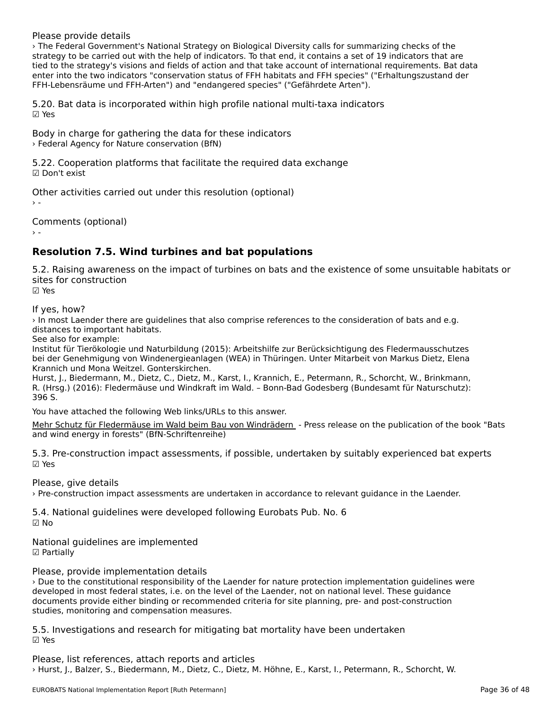Please provide details

› The Federal Government's National Strategy on Biological Diversity calls for summarizing checks of the strategy to be carried out with the help of indicators. To that end, it contains a set of 19 indicators that are tied to the strategy's visions and fields of action and that take account of international requirements. Bat dataenter into the two indicators "conservation status of FFH habitats and FFH species" ("Erhaltungszustand der FFH-Lebensräume und FFH-Arten") and "endangered species" ("Gefährdete Arten").

5.20. Bat data is incorporated within high profile national multi-taxa indicators ☑ Yes

Body in charge for gathering the data for these indicators › Federal Agency for Nature conservation (BfN)

5.22. Cooperation platforms that facilitate the required data exchange ☑ Don't exist

Other activities carried out under this resolution (optional)

Comments (optional)

 $\rightarrow$  -

# **Resolution 7.5. Wind turbines and bat populations**

5.2. Raising awareness on the impact of turbines on bats and the existence of some unsuitable habitats or sites for construction<br>☑ Yes

If yes, how?

In most Laender there are guidelines that also comprise references to the consideration of bats and e.g. distances to important habitats.<br>See also for example:

Institut für Tierökologie und Naturbildung (2015): Arbeitshilfe zur Berücksichtigung des Fledermausschutzes mstitut für Herokologie und Naturbildung (2013). Arbeitshille zur Berucksichtigung des Hedermausschluzes<br>bei der Genehmigung von Windenergieanlagen (WEA) in Thüringen. Unter Mitarbeit von Markus Dietz, Elena Krannich und Mona Weitzel. Gonterskirchen.

Hurst, J., Biedermann, M., Dietz, C., Dietz, M., Karst, I., Krannich, E., Petermann, R., Schorcht, W., Brinkmann, ndist, J., Bledermänn, M., Dietz, C., Dietz, M., Kaist, I., Kramnch, E., Fetermänn, K., Schotcht, W., Brinkmänn,<br>R. (Hrsg.) (2016): Fledermäuse und Windkraft im Wald. – Bonn-Bad Godesberg (Bundesamt für Naturschutz): 396 S.

You have attached the following Web links/URLs to this answer.

Mehr Schutz für Fledermäuse im Wald beim Bau von Windrädern - Press release on the publication of the book "Bats and wind energy in forests" (BfN-Schriftenreihe)

5.3. Pre-construction impact assessments, if possible, undertaken by suitably experienced bat experts

Please, give details

› Pre-construction impact assessments are undertaken in accordance to relevant guidance in the Laender.

5.4. National guidelines were developed following Eurobats Pub. No. 6

National guidelines are implemented ☑ Partially

Please, provide implementation details

› Due to the constitutional responsibility of the Laender for nature protection implementation guidelines were developed in most federal states, i.e. on the level of the Laender, not on national level. These guidance documents provide either binding or recommended criteria for site planning, pre- and post-construction documents provide either binding or recommended criteria for site planning, pre- and post-construction studies, monitoring and compensation measures.

5.5. Investigations and research for mitigating bat mortality have been undertaken ☑ Yes

Please, list references, attach reports and articles › Hurst, J., Balzer, S., Biedermann, M., Dietz, C., Dietz, M. Höhne, E., Karst, I., Petermann, R., Schorcht, W.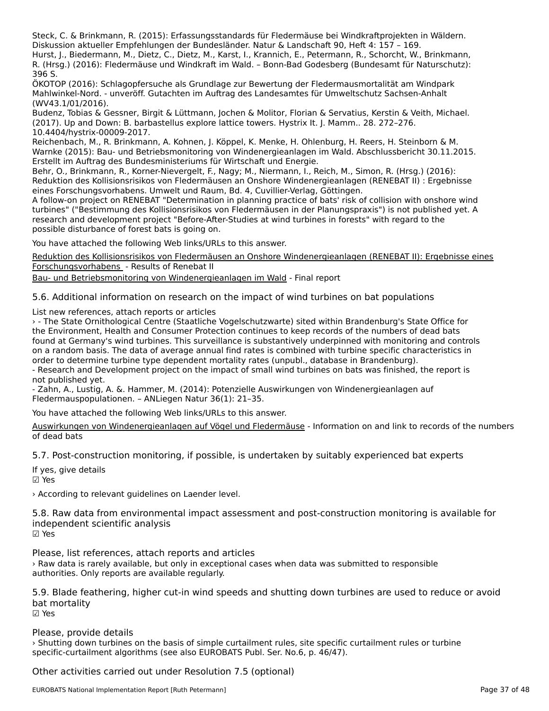Steck, C. & Brinkmann, R. (2015): Erfassungsstandards für Fledermäuse bei Windkraftprojekten in Wäldern. Diskussion aktueller Empfehlungen der Bundesländer. Natur & Landschaft 90, Heft 4: 157 – 169.

Diskussion aktueller Emplemangen der Bundeslander. Natur & Landschaft 90, Heit 4. 157 – 169.<br>Hurst, J., Biedermann, M., Dietz, C., Dietz, M., Karst, I., Krannich, E., Petermann, R., Schorcht, W., Brinkmann, R. (Hrsg.) (2016): Fledermäuse und Windkraft im Wald. – Bonn-Bad Godesberg (Bundesamt für Naturschutz): n. uns<br>396 S.

ÖKOTOP (2016): Schlagopfersuche als Grundlage zur Bewertung der Fledermausmortalität am Windpark Mahlwinkel-Nord. - unveröff. Gutachten im Auftrag des Landesamtes für Umweltschutz Sachsen-Anhalt יים וואווואוווגeו-ווטוט.<br>(WV43.1/01/2016).

Budenz, Tobias & Gessner, Birgit & Lüttmann, Jochen & Molitor, Florian & Servatius, Kerstin & Veith, Michael. Budenz, Robias & Gessiler, Birgit & Eddmann, Jochen & Montor, Florian & Servatius, Kerstin & W<br>(2017). Up and Down: B. barbastellus explore lattice towers. Hystrix It. J. Mamm.. 28. 272–276. 10.4404/hystrix-00009-2017.

Reichenbach, M., R. Brinkmann, A. Kohnen, J. Köppel, K. Menke, H. Ohlenburg, H. Reers, H. Steinborn & M. Reichenbach, M., R. Brinkmann, A. Ronnen, J. Ropper, R. Menke, H. Omenburg, H. Reers, H. Stemborn & M.<br>Warnke (2015): Bau- und Betriebsmonitoring von Windenergieanlagen im Wald. Abschlussbericht 30.11.2015. warnte (2015). Bau- und Bethebsmonitoning von Windenergieanlagen<br>Erstellt im Auftrag des Bundesministeriums für Wirtschaft und Energie.

ersteht im Auftrag des Bundesministerruns für Wirtschaft und Erlergie.<br>Behr, O., Brinkmann, R., Korner-Nievergelt, F., Nagy; M., Niermann, I., Reich, M., Simon, R. (Hrsg.) (2016):<br>Constanting (Rendering on Fluxe) Reduktion des Kollisionsrisikos von Fledermäusen an Onshore Windenergieanlagen (RENEBAT II) : Ergebnisse eines Forschungsvorhabens. Umwelt und Raum, Bd. 4, Cuvillier-Verlag, Göttingen.

emes rorschangsvornabens. Omwelt und Raum, bu. 4, Cuviller-verlag, Gottingen.<br>A follow-on project on RENEBAT "Determination in planning practice of bats' risk of collision with onshore wind turbines" ("Bestimmung des Kollisionsrisikos von Fledermäusen in der Planungspraxis") is not published yet. A research and development project "Before-After-Studies at wind turbines in forests" with regard to the research and development project "before-Afte<br>possible disturbance of forest bats is going on.

You have attached the following Web links/URLs to this answer.

[Reduktion des Kollisionsrisikos von Fledermäusen an Onshore Windenergieanlagen \(RENEBAT II\): Ergebnisse eines](https://doi.org/10.15488/263) **Reduktion des Romsionshakos von Hederma**<br>Forschungsvorhabens - Results of Renebat II

[Bau- und Betriebsmon](https://doi.org/10.15488/263)[itoring von Windenergieanlagen im Wald](http://www.arsu.de/sites/default/files/projekte/wiwa_abschlussbericht_2015.pdf) - Final report

5.6. Additional information on research on the impact of wind turbines on bat populations

List new references, attach reports or articles

› - The State Ornithological Centre (Staatliche Vogelschutzwarte) sited within Brandenburg's State Office for the Environment, Health and Consumer Protection continues to keep records of the numbers of dead bats found at Germany's wind turbines. This surveillance is substantively underpinned with monitoring and controls on a random basis. The data of average annual find rates is combined with turbine specific characteristics in order to determine turbine type dependent mortality rates (unpubl., database in Brandenburg).

order to determine turbine type dependent mortality rates (difpubit, database in brandenburg).<br>- Research and Development project on the impact of small wind turbines on bats was finished, the report is - Research and De<br>not published yet.

- Zahn, A., Lustig, A. &. Hammer, M. (2014): Potenzielle Auswirkungen von Windenergieanlagen auf Fledermauspopulationen. – ANLiegen Natur 36(1): 21–35.

You have attached the following Web links/URLs to this answer.

[Auswirkungen von Windenergieanlagen auf Vögel und Fledermäuse](https://lfu.brandenburg.de/cms/detail.php/bb1.c.312579.de) - Information on and link to records of the numbers of dead bats

5.7. Post-construction monitoring, if possible, is undertaken by suitably experienced bat experts

If yes, give details ☑ Yes

› According to relevant guidelines on Laender level.

5.8. Raw data from environmental impact assessment and post-construction monitoring is available for independent scientific analysis ☑ Yes

Please, list references, attach reports and articles

› Raw data is rarely available, but only in exceptional cases when data was submitted to responsible *r* naw data is rarely available, but only in except<br>authorities. Only reports are available regularly.

5.9. Blade feathering, higher cut-in wind speeds and shutting down turbines are used to reduce or avoid bat mortality

☑ Yes

Please, provide details

› Shutting down turbines on the basis of simple curtailment rules, site specific curtailment rules or turbine specific-curtailment algorithms (see also EUROBATS Publ. Ser. No.6, p. 46/47).

Other activities carried out under Resolution 7.5 (optional)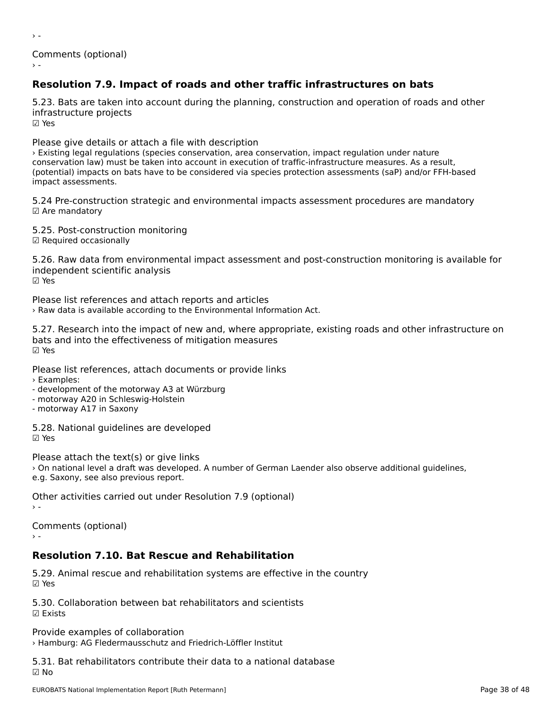Comments (optional)

# **Resolution 7.9. Impact of roads and other traffic infrastructures on bats**

5.23. Bats are taken into account during the planning, construction and operation of roads and other infrastructure projects

☑ Yes

 $\rightarrow$  -

Please give details or attach a file with description

› Existing legal regulations (species conservation, area conservation, impact regulation under nature conservation law) must be taken into account in execution of traffic-infrastructure measures. As a result, conservation law) must be taken into account in execution or trainc-infrastructure measures. As a result,<br>(potential) impacts on bats have to be considered via species protection assessments (saP) and/or FFH-based impact assessments.

5.24 Pre-construction strategic and environmental impacts assessment procedures are mandatory ☑ Are mandatory

5.25. Post-construction monitoring

☑ Required occasionally

5.26. Raw data from environmental impact assessment and post-construction monitoring is available for independent scientific analysis ☑ Yes

Please list references and attach reports and articles › Raw data is available according to the Environmental Information Act.

5.27. Research into the impact of new and, where appropriate, existing roads and other infrastructure on b.27. Research into the impact of new and, where approximates ມαເອ⊣<br>☑ Yes

Please list references, attach documents or provide links

› Examples:

- development of the motorway A3 at Würzburg

- motorway A20 in Schleswig-Holstein

- motorway A17 in Saxony

5.28. National guidelines are developed☑ Yes

Please attach the text(s) or give links I case attact the text(s) of give links<br>> On national level a draft was developed. A number of German Laender also observe additional guidelines, e.g. Saxony, see also previous report.

Other activities carried out under Resolution 7.9 (optional)  $\rightarrow$  -

Comments (optional)

## **Resolution 7.10. Bat Rescue and Rehabilitation**

5.29. Animal rescue and rehabilitation systems are effective in the country ☑ Yes

5.30. Collaboration between bat rehabilitators and scientists☑ Exists

Provide examples of collaboration › Hamburg: AG Fledermausschutz and Friedrich-Löffler Institut

5.31. Bat rehabilitators contribute their data to a national database ☑ No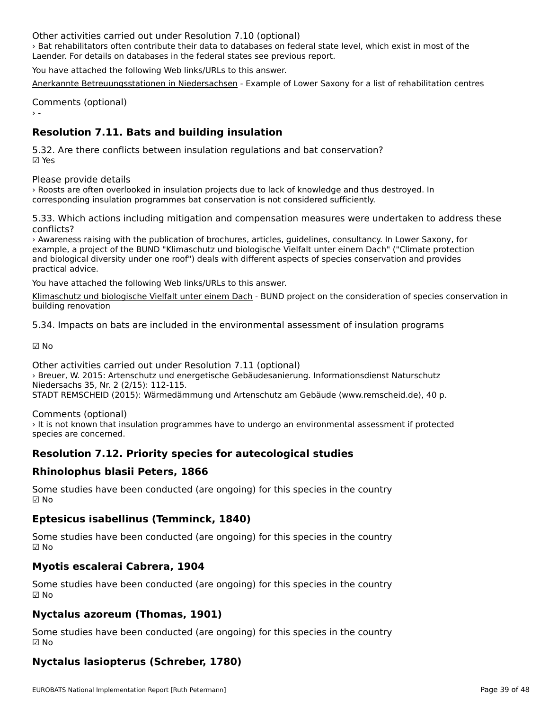Other activities carried out under Resolution 7.10 (optional)

› Bat rehabilitators often contribute their data to databases on federal state level, which exist in most of the Laender. For details on databases in the federal states see previous report.

You have attached the following Web links/URLs to this answer.

[Anerkannte Betreuungsstationen in Niedersachsen](http://www.nlwkn.niedersachsen.de/startseite/naturschutz/internationaler_artenschutz_cites/betreuungsstationen_verletzt_aufgefundene_tiere/anerkannte-betreuungsstationen-in-niedersachsen-46125.html) - Example of Lower Saxony for a list of rehabilitation centres

Comments (optional)

# **Resolution 7.11. Bats and building insulation**

5.32. Are there conflicts between insulation regulations and bat conservation? ☑ Yes

Please provide details

› Roosts are often overlooked in insulation projects due to lack of knowledge and thus destroyed. Incorresponding insulation programmes bat conservation is not considered sufficiently.

5.33. Which actions including mitigation and compensation measures were undertaken to address these conflicts?

› Awareness raising with the publication of brochures, articles, guidelines, consultancy. In Lower Saxony, for example, a project of the BUND "Klimaschutz und biologische Vielfalt unter einem Dach" ("Climate protection and biological diversity under one roof") deals with different aspects of species conservation and provides and biological di<br>practical advice.

You have attached the following Web links/URLs to this answer.

[Klimaschutz und biologische Vielfalt unter einem Dach](http://www.artenschutz-am-bau.de/) - BUND project on the consideration of species conservation in building renovation

5.34. Impacts on bats are included in the environmental assessment of insulation programs

☑ No

Other activities carried out under Resolution 7.11 (optional) Strich dettvittes edified odt drider Resolution 7:11 (optionar)<br>> Breuer, W. 2015: Artenschutz und energetische Gebäudesanierung. Informationsdienst Naturschutz Niedersachs 35, Nr. 2 (2/15): 112-115.

STADT REMSCHEID (2015): Wärmedämmung und Artenschutz am Gebäude (www.remscheid.de), 40 p.

Comments (optional)

comments (optionar)<br>> It is not known that insulation programmes have to undergo an environmental assessment if protected species are concerned.

# **Resolution 7.12. Priority species for autecological studies**

# **Rhinolophus blasii Peters, 1866**

Some studies have been conducted (are ongoing) for this species in the country ☑ No

# **Eptesicus isabellinus (Temminck, 1840)**

Some studies have been conducted (are ongoing) for this species in the country ☑ No

# **Myotis escalerai Cabrera, 1904**

Some studies have been conducted (are ongoing) for this species in the country ☑ No

# **Nyctalus azoreum (Thomas, 1901)**

Some studies have been conducted (are ongoing) for this species in the country ☑ No

# **Nyctalus lasiopterus (Schreber, 1780)**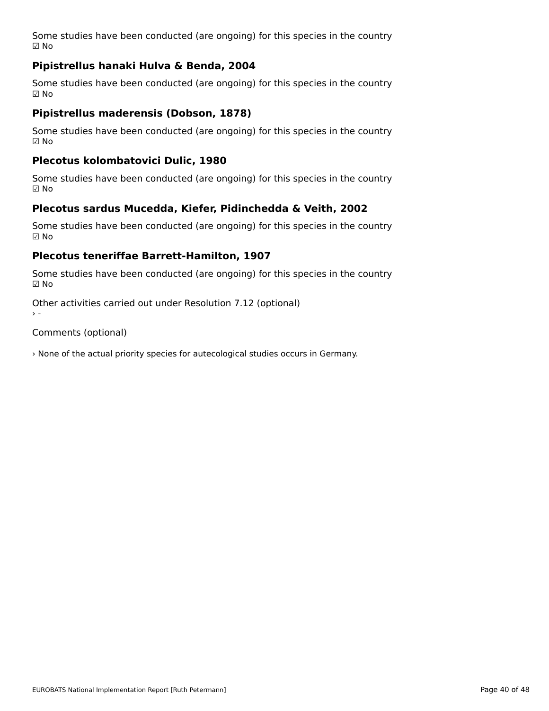Some studies have been conducted (are ongoing) for this species in the country ☑ No

# **Pipistrellus hanaki Hulva & Benda, 2004**

Some studies have been conducted (are ongoing) for this species in the country ☑ No

## **Pipistrellus maderensis (Dobson, 1878)**

Some studies have been conducted (are ongoing) for this species in the country ☑ No

### **Plecotus kolombatovici Dulic, 1980**

Some studies have been conducted (are ongoing) for this species in the country ☑ No

# **Plecotus sardus Mucedda, Kiefer, Pidinchedda & Veith, 2002**

Some studies have been conducted (are ongoing) for this species in the country  $\boxtimes$  No

### **Plecotus teneriffae Barrett-Hamilton, 1907**

Some studies have been conducted (are ongoing) for this species in the country ☑ No

Other activities carried out under Resolution 7.12 (optional)  $\ddot{\ }$ 

Comments (optional)

› None of the actual priority species for autecological studies occurs in Germany.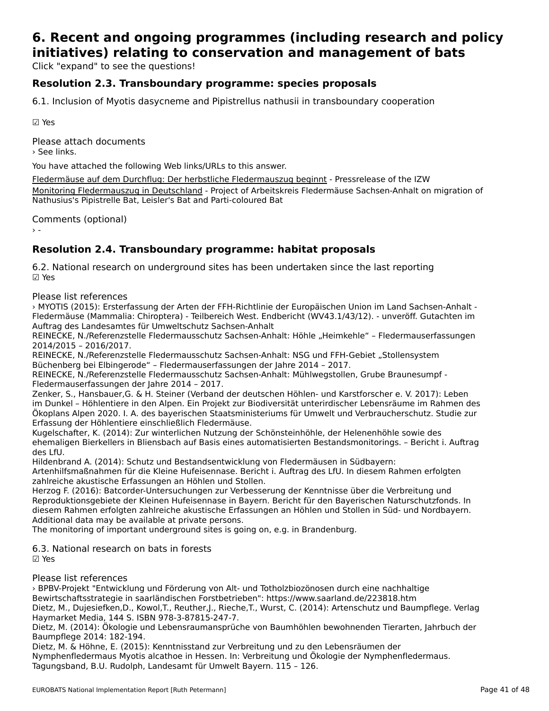## **6. Recent and ongoing programmes (including research and policy initiatives) relating to conservation and management of bats**initiatives) relating to conservation and management of bats

Click "expand" to see the questions!

# **Resolution 2.3. Transboundary programme: species proposals**

6.1. Inclusion of Myotis dasycneme and Pipistrellus nathusii in transboundary cooperation

☑ Yes

Please attach documents › See links.

You have attached the following Web links/URLs to this answer.

Fledermäuse auf dem Durchflug: Der herbstliche Fledermauszug beginnt - Pressrelease of the IZW [Monitoring Fledermauszug in Deutschland - Project of Arbeitskreis Flederm](http://www.izw-berlin.de/pressemitteilung/fledermaeuse-auf-dem-durchflug-der-herbstliche-fledermauszug-beginnt.html)äuse Sachsen-Anhalt on migration of **Nothtoring Hedermadszug in Deutschland** - Hoject of Arbeitsk<br>[Nathusius](http://www.fledermauszug-deutschland.de)'[s Pipistrelle Bat, Leisler](http://www.fledermauszug-deutschland.de)'[s Bat an](http://www.fledermauszug-deutschland.de)d Parti-coloured Bat

Comments (optional)

# **Resolution 2.4. Transboundary programme: habitat proposals**

6.2. National research on underground sites has been undertaken since the last reporting ☑ Yes

Please list references

› MYOTIS (2015): Ersterfassung der Arten der FFH-Richtlinie der Europäischen Union im Land Sachsen-Anhalt - Fintofis (2013). Ersterrassung der Arten der Frin-Kithlinie der Europaischen Onion im Eand Sachsen-Anhalt -<br>Fledermäuse (Mammalia: Chiroptera) - Teilbereich West. Endbericht (WV43.1/43/12). - unveröff. Gutachten im Auftrag des Landesamtes für Umweltschutz Sachsen-Anhalt

Auftrag des Landesannes für Omweitschutz Sachsen-Anhalt<br>REINECKE, N./Referenzstelle Fledermausschutz Sachsen-Anhalt: Höhle "Heimkehle" – Fledermauserfassungen 2014/2015 – 2016/2017.

zo14/zo15 = zo10/zo17.<br>REINECKE, N./Referenzstelle Fledermausschutz Sachsen-Anhalt: NSG und FFH-Gebiet "Stollensystem REINECKE, N./REIEIEIIZStelle Tiedermausschutz Sachsen-Annalt. NSG und TTTP.<br>Büchenberg bei Elbingerode" – Fledermauserfassungen der Jahre 2014 – 2017.

REINECKE, N./Referenzstelle Fledermausschutz Sachsen-Anhalt: Mühlwegstollen, Grube Braunesumpf - KLINLUKL, N./KEIEIEIIZStelle Tiedermausschutz<br>Fledermauserfassungen der Jahre 2014 – 2017.

riedermadserrassungen der jame 2014 – 2017.<br>Zenker, S., Hansbauer,G. & H. Steiner (Verband der deutschen Höhlen- und Karstforscher e. V. 2017): Leben Ökoplans Alpen 2020. I. A. des bayerischen Staatsministeriums für Umwelt und Verbraucherschutz. Studie zurÖkoplans Alpen 2020. I. A. des bayerischen Staatsministeriums für Umwelt und Verbraucherschutz. Studie zur Erfassung der Höhlentiere einschließlich Fledermäuse.

Kugelschafter, K. (2014): Zur winterlichen Nutzung der Schönsteinhöhle, der Helenenhöhle sowie des Rugeischafter, K. (2014). Zur winterlichen Nutzung der Schönstehmonie, der Heienemonie sowie des<br>ehemaligen Bierkellers in Bliensbach auf Basis eines automatisierten Bestandsmonitorings. – Bericht i. Auftrag

Hildenbrand A. (2014): Schutz und Bestandsentwicklung von Fledermäusen in Südbayern:

Artenhilfsmaßnahmen für die Kleine Hufeisennase. Bericht i. Auftrag des LfU. In diesem Rahmen erfolgten zahlreiche akustische Erfassungen an Höhlen und Stollen.

zanifeiche akustische Erfassungen an Hohlen und Stollen.<br>Herzog F. (2016): Batcorder-Untersuchungen zur Verbesserung der Kenntnisse über die Verbreitung und rierzog i. (2010). Battordei-ontersuchungen zur verbesserung der Kenntmisse über die verbreitung und<br>Reproduktionsgebiete der Kleinen Hufeisennase in Bayern. Bericht für den Bayerischen Naturschutzfonds. In diesem Rahmen erfolgten zahlreiche akustische Erfassungen an Höhlen und Stollen in Süd- und Nordbayern. Additional data may be available at private persons.

Additional data may be available at private persons.<br>The monitoring of important underground sites is going on, e.g. in Brandenburg.

6.3. National research on bats in forests

ບ.ບ. r<br>☑ Yes

Please list references

› BPBV-Projekt "Entwicklung und Förderung von Alt- und Totholzbiozönosen durch eine nachhaltige Bewirtschaftsstrategie in saarländischen Forstbetrieben": https://www.saarland.de/223818.htm Bewirtschartsstrategie in Saananuischen Forstbetheben Thttps://www.saananui.de/225818.html<br>Dietz, M., Dujesiefken,D., Kowol,T., Reuther,J., Rieche,T., Wurst, C. (2014): Artenschutz und Baumpflege. Verlag Haymarket Media, 144 S. ISBN 978-3-87815-247-7.

naymanket Media, 144 S. ISBN 976-S-67615-247-7.<br>Dietz, M. (2014): Ökologie und Lebensraumansprüche von Baumhöhlen bewohnenden Tierarten, Jahrbuch der Baumpflege 2014: 182-194.

Dietz, M. & Höhne, E. (2015): Kenntnisstand zur Verbreitung und zu den Lebensräumen der Nymphenfledermaus Myotis alcathoe in Hessen. In: Verbreitung und Ökologie der Nymphenfledermaus. Tagungsband, B.U. Rudolph, Landesamt für Umwelt Bayern. 115 – 126.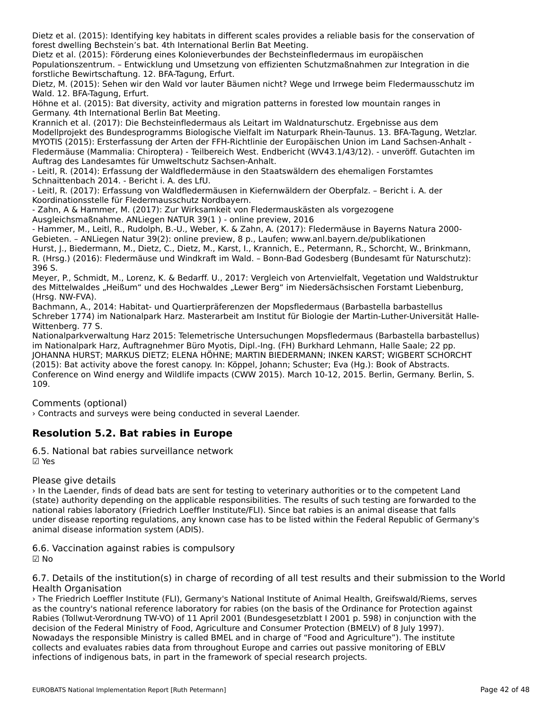Dietz et al. (2015): Identifying key habitats in different scales provides a reliable basis for the conservation of forest dwelling Bechstein's bat. 4th International Berlin Bat Meeting.

Dietz et al. (2015): Förderung eines Kolonieverbundes der Bechsteinfledermaus im europäischen Populationszentrum. – Entwicklung und Umsetzung von effizienten Schutzmaßnahmen zur Integration in die forstliche Bewirtschaftung. 12. BFA-Tagung, Erfurt.

forstliche Bewirtschaftung. 12. Bra-Tagung, Erfurt.<br>Dietz, M. (2015): Sehen wir den Wald vor lauter Bäumen nicht? Wege und Irrwege beim Fledermausschutz im Wald. 12. BFA-Tagung, Erfurt.

Wald. 12. Bra-lagung, Eriurt.<br>Höhne et al. (2015): Bat diversity, activity and migration patterns in forested low mountain ranges in Germany. 4th International Berlin Bat Meeting.

Krannich et al. (2017): Die Bechsteinfledermaus als Leitart im Waldnaturschutz. Ergebnisse aus dem Kramilch et al. (2017). Die Bechsteimledermads als Leitart im Waldhaturschutz. Lryebmisse aus dem<br>Modellprojekt des Bundesprogramms Biologische Vielfalt im Naturpark Rhein-Taunus. 13. BFA-Tagung, Wetzlar. MYOTIS (2015): Ersterfassung der Arten der FFH-Richtlinie der Europäischen Union im Land Sachsen-Anhalt - Fledermäuse (Mammalia: Chiroptera) - Teilbereich West. Endbericht (WV43.1/43/12). - unveröff. Gutachten im Auftrag des Landesamtes für Umweltschutz Sachsen-Anhalt.

- Leitl, R. (2014): Erfassung der Waldfledermäuse in den Staatswäldern des ehemaligen Forstamtes Schnaittenbach 2014. - Bericht i. A. des LfU.

- Leitl, R. (2017): Erfassung von Waldfledermäusen in Kiefernwäldern der Oberpfalz. – Bericht i. A. der - Leiti, K. (2017). Ernassung von walunedermausen im i<br>Koordinationsstelle für Fledermausschutz Nordbayern.

- Zahn, A & Hammer, M. (2017): Zur Wirksamkeit von Fledermauskästen als vorgezogene Ausgleichsmaßnahme. ANLiegen NATUR 39(1 ) - online preview, 2016

Ausgieichsmaßnamne. Antiegen NATOR 39(17) - ohme preview, 2010<br>- Hammer, M., Leitl, R., Rudolph, B.-U., Weber, K. & Zahn, A. (2017): Fledermäuse in Bayerns Natura 2000-Gebieten. – ANLiegen Natur 39(2): online preview, 8 p., Laufen; www.anl.bayern.de/publikationen

Hurst, J., Biedermann, M., Dietz, C., Dietz, M., Karst, I., Krannich, E., Petermann, R., Schorcht, W., Brinkmann, ndist, J., Bledermähn, M., Dietz, C., Dietz, M., Kaist, I., Krammen, E., Fetermähn, K., Schotcht, W., Brinkmahn,<br>R. (Hrsg.) (2016): Fledermäuse und Windkraft im Wald. – Bonn-Bad Godesberg (Bundesamt für Naturschutz): 396 S.

Meyer, P., Schmidt, M., Lorenz, K. & Bedarff. U., 2017: Vergleich von Artenvielfalt, Vegetation und Waldstruktur meyer, F., Schmidt, M., Lorenz, K. & Bedam. O., 2017. Vergielen von Artenvienalt, vegetation und Waldstrum<br>des Mittelwaldes "Heißum" und des Hochwaldes "Lewer Berg" im Niedersächsischen Forstamt Liebenburg, (Hrsg. NW-FVA).

Bachmann, A., 2014: Habitat- und Quartierpräferenzen der Mopsfledermaus (Barbastella barbastellus Schreber 1774) im Nationalpark Harz. Masterarbeit am Institut für Biologie der Martin-Luther-Universität Halle-JUNEUEL 1774) II<br>Wittenberg. 77 C. Wittenberg. 77 S.

Nationalparkverwaltung Harz 2015: Telemetrische Untersuchungen Mopsfledermaus (Barbastella barbastellus) im Nationalpark Harz, Auftragnehmer Büro Myotis, Dipl.-Ing. (FH) Burkhard Lehmann, Halle Saale; 22 pp. IIII Nationalpark Harz, Aditraghenmer Buro Myotis, Dipi.-Ing. (FH) Burkhard Lehmann, Halle Saale, 22 pp.<br>JOHANNA HURST; MARKUS DIETZ; ELENA HÖHNE; MARTIN BIEDERMANN; INKEN KARST; WIGBERT SCHORCHT (2015): Bat activity above the forest canopy. In: Köppel, Johann; Schuster; Eva (Hg.): Book of Abstracts. (2013). Bat activity above the forest canopy. in: Ropper, Johann, Schuster, Eva (hy.). Book of Abstracts.<br>Conference on Wind energy and Wildlife impacts (CWW 2015). March 10-12, 2015. Berlin, Germany. Berlin, S. 109.

Comments (optional)

› Contracts and surveys were being conducted in several Laender.

# **Resolution 5.2. Bat rabies in Europe**

6.5. National bat rabies surveillance network☑ Yes

Please give details

› In the Laender, finds of dead bats are sent for testing to veterinary authorities or to the competent LandTh the Laender, must of dead bats are sent for testing to vetermary additiontes or to the competent Land<br>(state) authority depending on the applicable responsibilities. The results of such testing are forwarded to the national rabies laboratory (Friedrich Loeffler Institute/FLI). Since bat rabies is an animal disease that falls under disease reporting regulations, any known case has to be listed within the Federal Republic of Germany's anuer disease reporting regulations, any Ki<br>animal disease information system (ADIS).

6.6. Vaccination against rabies is compulsory

☑ No

6.7. Details of the institution(s) in charge of recording of all test results and their submission to the World o. *r* . Details or the in<br>Health Organisation

› The Friedrich Loeffler Institute (FLI), Germany's National Institute of Animal Health, Greifswald/Riems, serves as the country's national reference laboratory for rabies (on the basis of the Ordinance for Protection against as the country s'hational reference raboratory for rabies (on the basis of the Ordinance for Frotection against<br>Rabies (Tollwut-Verordnung TW-VO) of 11 April 2001 (Bundesgesetzblatt I 2001 p. 598) in conjunction with the decision of the Federal Ministry of Food, Agriculture and Consumer Protection (BMELV) of 8 July 1997). Nowadays the responsible Ministry is called BMEL and in charge of "Food and Agriculture"). The institute collects and evaluates rabies data from throughout Europe and carries out passive monitoring of EBLV infections of indigenous bats, in part in the framework of special research projects.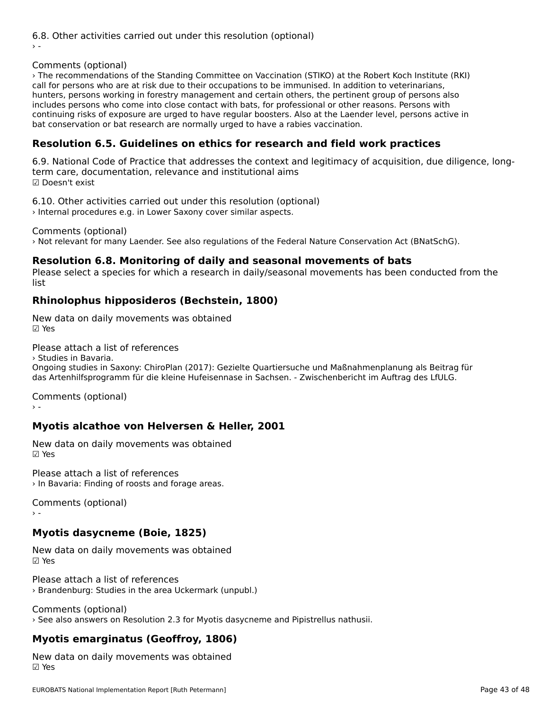6.8. Other activities carried out under this resolution (optional)

## Comments (optional)

› The recommendations of the Standing Committee on Vaccination (STIKO) at the Robert Koch Institute (RKI) call for persons who are at risk due to their occupations to be immunised. In addition to veterinarians, hunters, persons working in forestry management and certain others, the pertinent group of persons also includes persons who come into close contact with bats, for professional or other reasons. Persons with continuing risks of exposure are urged to have regular boosters. Also at the Laender level, persons active in bat conservation or bat research are normally urged to have a rabies vaccination.

## **Resolution 6.5. Guidelines on ethics for research and field work practices**

6.9. National Code of Practice that addresses the context and legitimacy of acquisition, due diligence, longo.s. National Code of Fractice that addresses the context and institutional aims ☑ Doesn't exist

6.10. Other activities carried out under this resolution (optional) › Internal procedures e.g. in Lower Saxony cover similar aspects.

Comments (optional)

› Not relevant for many Laender. See also regulations of the Federal Nature Conservation Act (BNatSchG).

#### **Resolution 6.8. Monitoring of daily and seasonal movements of bats**

Resolution 6.0. Montoring of dairy and seasonal movements of bats<br>Please select a species for which a research in daily/seasonal movements has been conducted from the

## **Rhinolophus hipposideros (Bechstein, 1800)**

New data on daily movements was obtained ☑ Yes

Please attach a list of references

› Studies in Bavaria.Ongoing studies in Saxony: ChiroPlan (2017): Gezielte Quartiersuche und Maßnahmenplanung als Beitrag fürdas Artenhilfsprogramm für die kleine Hufeisennase in Sachsen. - Zwischenbericht im Auftrag des LfULG.

Comments (optional)

# **Myotis alcathoe von Helversen & Heller, 2001**

New data on daily movements was obtained ☑ Yes

Please attach a list of references› In Bavaria: Finding of roosts and forage areas.

Comments (optional)

# **Myotis dasycneme (Boie, 1825)**

New data on daily movements was obtained ☑ Yes

Please attach a list of references› Brandenburg: Studies in the area Uckermark (unpubl.)

Comments (optional) › See also answers on Resolution 2.3 for Myotis dasycneme and Pipistrellus nathusii.

## **Myotis emarginatus (Geoffroy, 1806)**

New data on daily movements was obtained ☑ Yes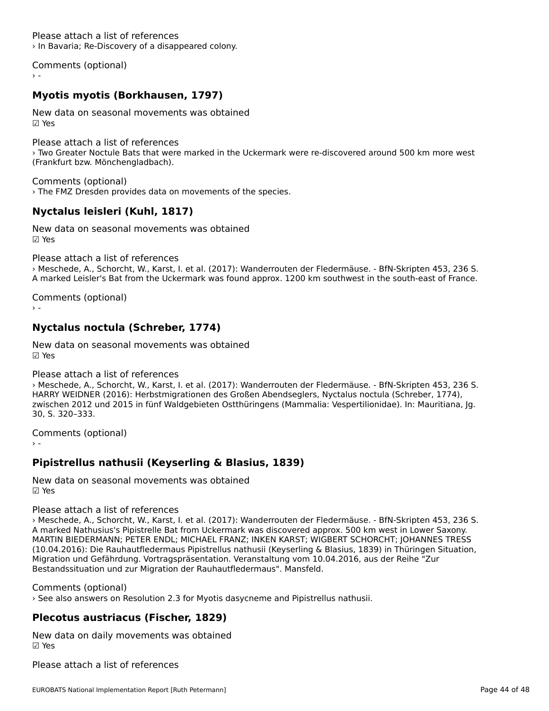Please attach a list of references› In Bavaria; Re-Discovery of a disappeared colony.

Comments (optional)

# **Myotis myotis (Borkhausen, 1797)**

New data on seasonal movements was obtained☑ Yes

Please attach a list of references› Two Greater Noctule Bats that were marked in the Uckermark were re-discovered around 500 km more west (Frankfurt bzw. Mönchengladbach).

Comments (optional) › The FMZ Dresden provides data on movements of the species.

# **Nyctalus leisleri (Kuhl, 1817)**

New data on seasonal movements was obtained☑ Yes

Please attach a list of references

› Meschede, A., Schorcht, W., Karst, I. et al. (2017): Wanderrouten der Fledermäuse. - BfN-Skripten 453, 236 S. A marked Leisler's Bat from the Uckermark was found approx. 1200 km southwest in the south-east of France.

Comments (optional)

# **Nyctalus noctula (Schreber, 1774)**

New data on seasonal movements was obtained☑ Yes

### Please attach a list of references

› Meschede, A., Schorcht, W., Karst, I. et al. (2017): Wanderrouten der Fledermäuse. - BfN-Skripten 453, 236 S. 2 Meschede, A., Schotcht, W., Karst, I. et al. (2017). Wahdenbuten der Hedenhause. - Brit-Skripten 455, 256 5<br>HARRY WEIDNER (2016): Herbstmigrationen des Großen Abendseglers, Nyctalus noctula (Schreber, 1774), zwischen 2012 und 2015 in fünf Waldgebieten Ostthüringens (Mammalia: Vespertilionidae). In: Mauritiana, Jg. 30, S. 320–333.

Comments (optional)

# **Pipistrellus nathusii (Keyserling & Blasius, 1839)**

New data on seasonal movements was obtained☑ Yes

### Please attach a list of references

› Meschede, A., Schorcht, W., Karst, I. et al. (2017): Wanderrouten der Fledermäuse. - BfN-Skripten 453, 236 S. A marked Nathusius's Pipistrelle Bat from Uckermark was discovered approx. 500 km west in Lower Saxony. A marked Nathusius s Hipistrene Bat hom Ockenhank was discovered approx. 500 km west in Lower Saxony.<br>MARTIN BIEDERMANN; PETER ENDL; MICHAEL FRANZ; INKEN KARST; WIGBERT SCHORCHT; JOHANNES TRESS (10.04.2016): Die Rauhautfledermaus Pipistrellus nathusii (Keyserling & Blasius, 1839) in Thüringen Situation, Migration und Gefährdung. Vortragspräsentation. Veranstaltung vom 10.04.2016, aus der Reihe "Zur migration und Gerannuung. Vorträgspräsentation: Veranstaltung vom 10.<br>Bestandssituation und zur Migration der Rauhautfledermaus". Mansfeld.

## Comments (optional)

› See also answers on Resolution 2.3 for Myotis dasycneme and Pipistrellus nathusii.

## **Plecotus austriacus (Fischer, 1829)**

New data on daily movements was obtained

Please attach a list of references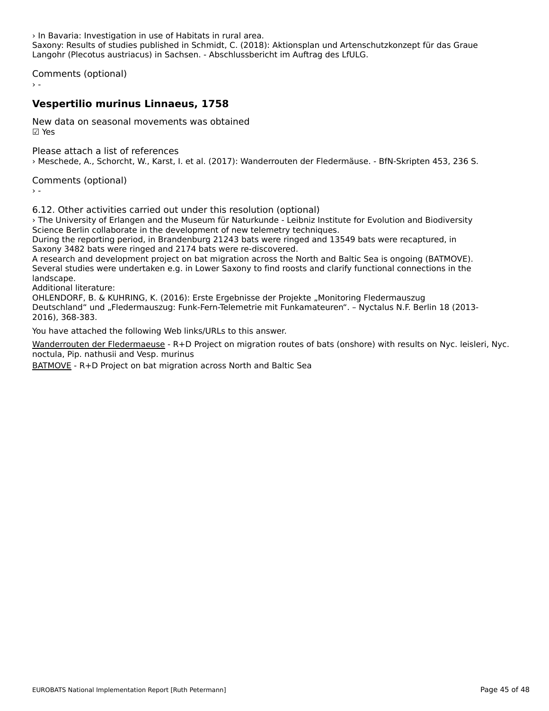› In Bavaria: Investigation in use of Habitats in rural area. Saxony: Results of studies published in Schmidt, C. (2018): Aktionsplan und Artenschutzkonzept für das Graue Langohr (Plecotus austriacus) in Sachsen. - Abschlussbericht im Auftrag des LfULG.

Comments (optional)

## **Vespertilio murinus Linnaeus, 1758**

New data on seasonal movements was obtained☑ Yes

Please attach a list of references› Meschede, A., Schorcht, W., Karst, I. et al. (2017): Wanderrouten der Fledermäuse. - BfN-Skripten 453, 236 S.

Comments (optional)

6.12. Other activities carried out under this resolution (optional)

› The University of Erlangen and the Museum für Naturkunde - Leibniz Institute for Evolution and Biodiversity The University of Enangen and the Museum fur Naturkunde - Leibinz institution.<br>Science Berlin collaborate in the development of new telemetry techniques.

During the reporting period, in Brandenburg 21243 bats were ringed and 13549 bats were recaptured, in Saxony 3482 bats were ringed and 2174 bats were re-discovered.

Saxony 3462 bats were ninged and 2174 bats were re-discovered.<br>A research and development project on bat migration across the North and Baltic Sea is ongoing (BATMOVE). Several studies were undertaken e.g. in Lower Saxony to find roosts and clarify functional connections in the severar stu<br>landscape.

Additional literature:

Additional literature.<br>OHLENDORF, B. & KUHRING, K. (2016): Erste Ergebnisse der Projekte "Monitoring Fledermauszug Deutschland" und "Fledermauszug: Funk-Fern-Telemetrie mit Funkamateuren". – Nyctalus N.F. Berlin 18 (2013- 2016), 368-383.

You have attached the following Web links/URLs to this answer.

Wanderrouten der Fledermaeuse - R+D Project on migration routes of bats (onshore) with results on Nyc. leisleri, Nyc. noctula, Pip. nathusii and Vesp. murinus

[BATMOVE](https://mecklenburg-vorpommern.nabu.de/tiere-und-pflanzen/aktionen-und-projekte/fledermauszug/index.html) - R+D Project on bat migration across North and Baltic Sea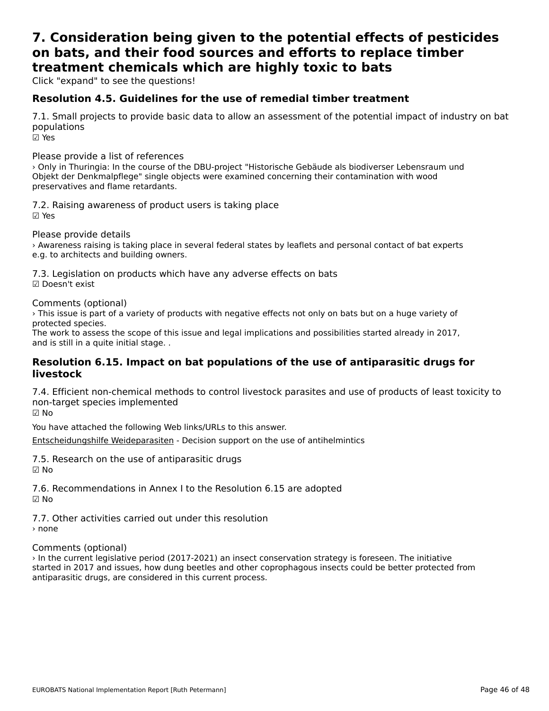## **7. Consideration being given to the potential effects of pesticides on bats, and their food sources and efforts to replace timber**on bats, and their food sources and efforts to replace timber **treatment chemicals which are highly toxic to bats**

Click "expand" to see the questions!

# **Resolution 4.5. Guidelines for the use of remedial timber treatment**

7.1. Small projects to provide basic data to allow an assessment of the potential impact of industry on bat populations

☑ Yes

Please provide a list of references

› Only in Thuringia: In the course of the DBU-project "Historische Gebäude als biodiverser Lebensraum und Objekt der Denkmalpflege" single objects were examined concerning their contamination with wood preservatives and flame retardants.

7.2. Raising awareness of product users is taking place ☑ Yes

Please provide details

› Awareness raising is taking place in several federal states by leaflets and personal contact of bat experts *A* Awareness raising is taking place in s<br>e.g. to architects and building owners.

7.3. Legislation on products which have any adverse effects on bats ☑ Doesn't exist

Comments (optional)

› This issue is part of a variety of products with negative effects not only on bats but on a huge variety of *r* rins issue is part<br>protected species.

The work to assess the scope of this issue and legal implications and possibilities started already in 2017, The work to assess the scope of the<br>and is still in a quite initial stage. .

# **Resolution 6.15. Impact on bat populations of the use of antiparasitic drugs for livestock**

7.4. Efficient non-chemical methods to control livestock parasites and use of products of least toxicity to non-target species implemented ☑ No

You have attached the following Web links/URLs to this answer.

[Entscheidungshilfe Weideparasiten](https://www.weide-parasiten.de/jungrinder/behandlung/) - Decision support on the use of antihelmintics

7.5. Research on the use of antiparasitic drugs ☑ No

7.6. Recommendations in Annex I to the Resolution 6.15 are adopted  $\boxtimes$  No

7.7. Other activities carried out under this resolution› none

## Comments (optional)

› In the current legislative period (2017-2021) an insect conservation strategy is foreseen. The initiative Firm the current regislative period (2017-2021) an insect conservation strategy is foreseen. The initiative started in 2017 and issues, how dung beetles and other coprophagous insects could be better protected from antiparasitic drugs, are considered in this current process.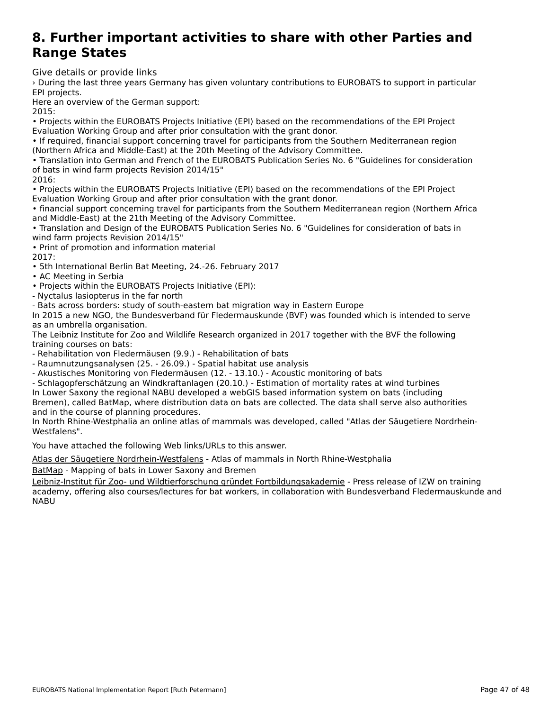### **8. Further important activities to share with other Parties andRange Charge States and State Council Council Called Bild**<br>Range Charge **Range States**

Give details or provide links

› During the last three years Germany has given voluntary contributions to EUROBATS to support in particular EPI projects.

LFT projects.<br>Here an overview of the German support:

• Projects within the EUROBATS Projects Initiative (EPI) based on the recommendations of the EPI Project Evaluation Working Group and after prior consultation with the grant donor.Evaluation Working Group and after prior consultation with the grant donor.

• If required, financial support concerning travel for participants from the Southern Mediterranean region (Northern Africa and Middle-East) at the 20th Meeting of the Advisory Committee.

• Translation into German and French of the EUROBATS Publication Series No. 6 "Guidelines for consideration of bats in wind farm projects Revision 2014/15"

2016:

• Projects within the EUROBATS Projects Initiative (EPI) based on the recommendations of the EPI Project Projects within the EUNODATS Frojects initiative (EFT) based on the recommencement of the statement of the second

• financial support concerning travel for participants from the Southern Mediterranean region (Northern Africa and Middle-East) at the 21th Meeting of the Advisory Committee.

• Translation and Design of the EUROBATS Publication Series No. 6 "Guidelines for consideration of bats in wind farm projects Revision 2014/15"

• Print of promotion and information material 2017:

volly.<br>• 5th International Berlin Bat Meeting, 24.-26. February 2017

• AC Meeting in Serbia

• Ac Meeting in Serbia<br>• Projects within the EUROBATS Projects Initiative (EPI):

- Nyctalus lasiopterus in the far north

- Nyctalus lasiopterus in the rail horth<br>- Bats across borders: study of south-eastern bat migration way in Eastern Europe

- Bats across borders: study or south-eastern bat migration way in Eastern Europe<br>In 2015 a new NGO, the Bundesverband für Fledermauskunde (BVF) was founded which is intended to serve as an umbrella organisation.

as an unibleila organisation.<br>The Leibniz Institute for Zoo and Wildlife Research organized in 2017 together with the BVF the following The Leibniz institute for z<br>training courses on bats:

- Rehabilitation von Fledermäusen (9.9.) - Rehabilitation of bats

- Raumnutzungsanalysen (25. - 26.09.) - Spatial habitat use analysis

- Akustisches Monitoring von Fledermäusen (12. - 13.10.) - Acoustic monitoring of bats

- Schlagopferschätzung an Windkraftanlagen (20.10.) - Estimation of mortality rates at wind turbines In Lower Saxony the regional NABU developed a webGIS based information system on bats (including ni Lower Saxony the regional NABO developed a webors based information system on bats (including<br>Bremen), called BatMap, where distribution data on bats are collected. The data shall serve also authorities Brefflen), called Badviap, where distributed<br>and in the course of planning procedures.

In North Rhine-Westphalia an online atlas of mammals was developed, called "Atlas der Säugetiere Nordrhein-Westfalens".

You have attached the following Web links/URLs to this answer.

Atlas der Säugetiere Nordrhein-Westfalens - Atlas of mammals in North Rhine-Westphalia

**[BatMap - Mapping of bats in Lower Saxony](http://saeugeratlas-nrw.lwl.org/) and Bremen** 

Leibniz-Institut für Zoo- und Wildtierforschung gründet Fortbildungsakademie - Press release of IZW on training [academy, offering also courses/lectures for bat workers, in collaboration with](http://www.izw-berlin.de/pressemitteilung/leibniz-institut-fuer-zoo-und-wildtierforschung-gruendet-fortbildungsakademie.html) Bundesverband Fledermauskunde and NABU